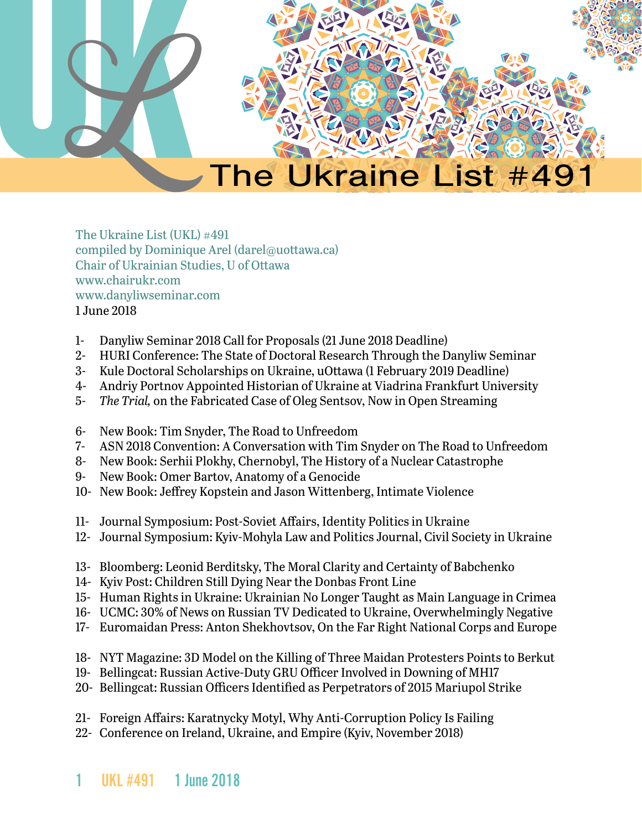

# The Ukraine List #491

The Ukraine List (UKL) #491 compiled by Dominique Arel (darel@uottawa.ca) Chair of Ukrainian Studies, U of Ottawa [www.chairukr.com](http://www.chairukr.com) [www.danyliwseminar.com](http://www.danyliwseminar.com) 1 June 2018

- <span id="page-0-0"></span>1- [Danyliw Seminar 2018 Call for Proposals \(21 June 2018 Deadline\)](#page-1-0)
- 2- [HURI Conference: The State of Doctoral Research Through the Danyliw Seminar](#page-3-0)
- 3- [Kule Doctoral Scholarships on Ukraine, uOttawa \(1 February 2019 Deadline\)](#page-7-0)
- 4- Andriy Portnov Appointed Historian of Ukraine at Viadrina Frankfurt University
- 5- *The Trial,* [on the Fabricated Case of Oleg Sentsov, Now in Open Streaming](#page-9-0)
- 6- [New Book: Tim Snyder, The Road to Unfreedom](#page-9-1)
- 7- [ASN 2018 Convention: A Conversation with Tim Snyder on The Road to Unfreedom](#page-10-0)
- 8- [New Book: Serhii Plokhy, Chernobyl, The History of a Nuclear Catastrophe](#page-13-0)
- 9- [New Book: Omer Bartov, Anatomy of a Genocide](#page-13-1)
- 10- [New Book: Jeffrey Kopstein and Jason Wittenberg, Intimate Violence](#page-14-0)
- 11- [Journal Symposium: Post-Soviet Affairs, Identity Politics in Ukraine](#page-15-0)
- 12- [Journal Symposium: Kyiv-Mohyla Law and Politics Journal, Civil Society in Ukraine](#page-16-0)
- 13- [Bloomberg: Leonid Berditsky, The Moral Clarity and Certainty of Babchenko](#page-17-0)
- 14- [Kyiv Post: Children Still Dying Near the Donbas Front Line](#page-19-0)
- 15- Human Rights in Ukraine: Ukrainian No Longer Taught as Main Language in Crimea
- 16- [UCMC: 30% of News on Russian TV Dedicated to Ukraine, Overwhelmingly Negative](#page-23-0)
- 17- [Euromaidan Press: Anton Shekhovtsov, On the Far Right National Corps and Europe](#page-24-0)
- 18- [NYT Magazine: 3D Model on the Killing of Three Maidan Protesters Points to Berkut](#page-27-0)
- 19- Bellingcat: Russian Active-Duty GRU Officer Involved in Downing of MH17
- 20- [Bellingcat: Russian Officers Identified as Perpetrators of 2015 Mariupol Strike](#page-40-0)
- 21- [Foreign Affairs: Karatnycky Motyl, Why Anti-Corruption Policy Is Failing](#page-42-0)
- 22- [Conference on Ireland, Ukraine, and Empire \(Kyiv, November 2018\)](#page-47-0)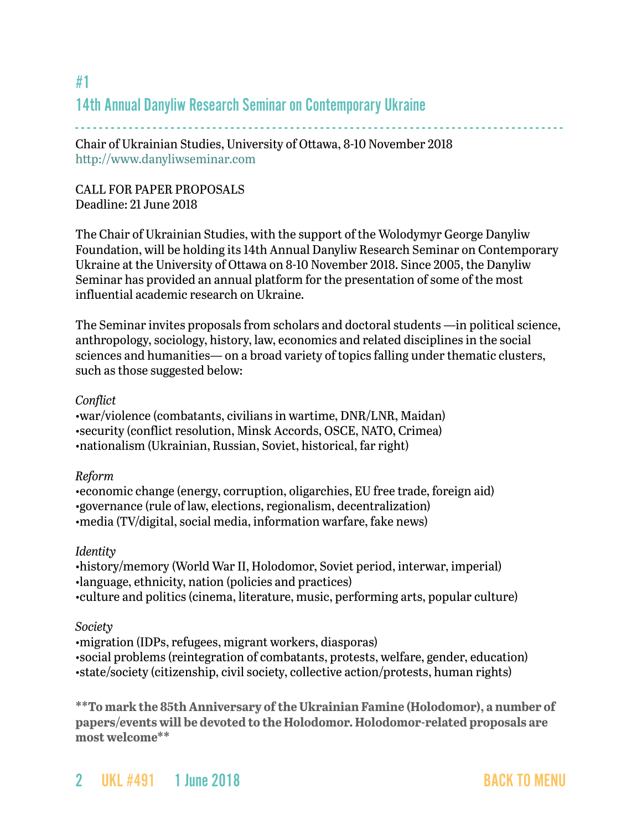# <span id="page-1-0"></span>#1 14th Annual Danyliw Research Seminar on Contemporary Ukraine

- - - - - - - - - - - - - - - - - - - - - - - - - - - - - - - - - - - - - - - - - - - - - - - - - - - - - - - - - - - - - - - - - - - - - - - - - - - - - - - - - -

Chair of Ukrainian Studies, University of Ottawa, 8-10 November 2018 <http://www.danyliwseminar.com>

### CALL FOR PAPER PROPOSALS Deadline: 21 June 2018

The Chair of Ukrainian Studies, with the support of the Wolodymyr George Danyliw Foundation, will be holding its 14th Annual Danyliw Research Seminar on Contemporary Ukraine at the University of Ottawa on 8-10 November 2018. Since 2005, the Danyliw Seminar has provided an annual platform for the presentation of some of the most influential academic research on Ukraine.

The Seminar invites proposals from scholars and doctoral students —in political science, anthropology, sociology, history, law, economics and related disciplines in the social sciences and humanities— on a broad variety of topics falling under thematic clusters, such as those suggested below:

#### *Conflict*

•war/violence (combatants, civilians in wartime, DNR/LNR, Maidan) •security (conflict resolution, Minsk Accords, OSCE, NATO, Crimea) •nationalism (Ukrainian, Russian, Soviet, historical, far right)

### *Reform*

•economic change (energy, corruption, oligarchies, EU free trade, foreign aid) •governance (rule of law, elections, regionalism, decentralization) •media (TV/digital, social media, information warfare, fake news)

### *Identity*

•history/memory (World War II, Holodomor, Soviet period, interwar, imperial) •language, ethnicity, nation (policies and practices) •culture and politics (cinema, literature, music, performing arts, popular culture)

### *Society*

•migration (IDPs, refugees, migrant workers, diasporas)

•social problems (reintegration of combatants, protests, welfare, gender, education) •state/society (citizenship, civil society, collective action/protests, human rights)

**\*\*To mark the 85th Anniversary of the Ukrainian Famine (Holodomor), a number of papers/events will be devoted to the Holodomor. Holodomor-related proposals are most welcome\*\***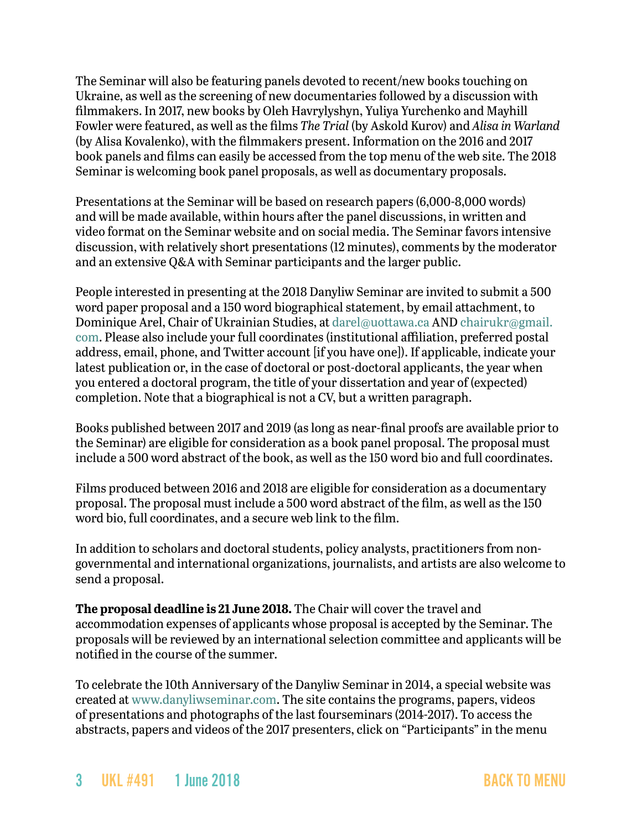The Seminar will also be featuring panels devoted to recent/new books touching on Ukraine, as well as the screening of new documentaries followed by a discussion with filmmakers. In 2017, new books by Oleh Havrylyshyn, Yuliya Yurchenko and Mayhill Fowler were featured, as well as the films *The Trial* (by Askold Kurov) and *Alisa in Warland* (by Alisa Kovalenko), with the filmmakers present. Information on the 2016 and 2017 book panels and films can easily be accessed from the top menu of the web site. The 2018 Seminar is welcoming book panel proposals, as well as documentary proposals.

Presentations at the Seminar will be based on research papers (6,000-8,000 words) and will be made available, within hours after the panel discussions, in written and video format on the Seminar website and on social media. The Seminar favors intensive discussion, with relatively short presentations (12 minutes), comments by the moderator and an extensive Q&A with Seminar participants and the larger public.

People interested in presenting at the 2018 Danyliw Seminar are invited to submit a 500 word paper proposal and a 150 word biographical statement, by email attachment, to Dominique Arel, Chair of Ukrainian Studies, at [darel@uottawa.ca](mailto:darel@uottawa.ca) AND [chairukr@gmail.](mailto:chairukr@gmail.com) [com](mailto:chairukr@gmail.com). Please also include your full coordinates (institutional affiliation, preferred postal address, email, phone, and Twitter account [if you have one]). If applicable, indicate your latest publication or, in the case of doctoral or post-doctoral applicants, the year when you entered a doctoral program, the title of your dissertation and year of (expected) completion. Note that a biographical is not a CV, but a written paragraph.

Books published between 2017 and 2019 (as long as near-final proofs are available prior to the Seminar) are eligible for consideration as a book panel proposal. The proposal must include a 500 word abstract of the book, as well as the 150 word bio and full coordinates.

Films produced between 2016 and 2018 are eligible for consideration as a documentary proposal. The proposal must include a 500 word abstract of the film, as well as the 150 word bio, full coordinates, and a secure web link to the film.

In addition to scholars and doctoral students, policy analysts, practitioners from nongovernmental and international organizations, journalists, and artists are also welcome to send a proposal.

**The proposal deadline is 21 June 2018.** The Chair will cover the travel and accommodation expenses of applicants whose proposal is accepted by the Seminar. The proposals will be reviewed by an international selection committee and applicants will be notified in the course of the summer.

To celebrate the 10th Anniversary of the Danyliw Seminar in 2014, a special website was created at [www.danyliwseminar.com.](http://www.danyliwseminar.com) The site contains the programs, papers, videos of presentations and photographs of the last fourseminars (2014-2017). To access the abstracts, papers and videos of the 2017 presenters, click on "Participants" in the menu

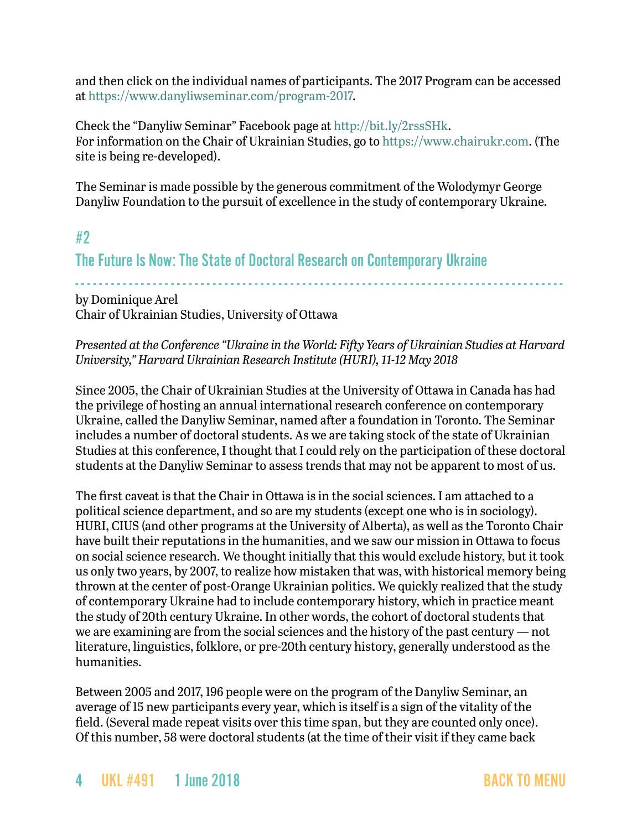and then click on the individual names of participants. The 2017 Program can be accessed at<https://www.danyliwseminar.com/program-2017>.

Check the "Danyliw Seminar" Facebook page at<http://bit.ly/2rssSHk>. For information on the Chair of Ukrainian Studies, go to <https://www.chairukr.com>. (The site is being re-developed).

The Seminar is made possible by the generous commitment of the Wolodymyr George Danyliw Foundation to the pursuit of excellence in the study of contemporary Ukraine.

### <span id="page-3-0"></span>#2

### The Future Is Now: The State of Doctoral Research on Contemporary Ukraine

- - - - - - - - - - - - - - - - - - - - - - - - - - - - - - - - - - - - - - - - - - - - - - - - - - - - - - - - - - - - - - - - - - - - - - - - - - - - - - - - - by Dominique Arel Chair of Ukrainian Studies, University of Ottawa

#### *Presented at the Conference "Ukraine in the World: Fifty Years of Ukrainian Studies at Harvard University," Harvard Ukrainian Research Institute (HURI), 11-12 May 2018*

Since 2005, the Chair of Ukrainian Studies at the University of Ottawa in Canada has had the privilege of hosting an annual international research conference on contemporary Ukraine, called the Danyliw Seminar, named after a foundation in Toronto. The Seminar includes a number of doctoral students. As we are taking stock of the state of Ukrainian Studies at this conference, I thought that I could rely on the participation of these doctoral students at the Danyliw Seminar to assess trends that may not be apparent to most of us.

The first caveat is that the Chair in Ottawa is in the social sciences. I am attached to a political science department, and so are my students (except one who is in sociology). HURI, CIUS (and other programs at the University of Alberta), as well as the Toronto Chair have built their reputations in the humanities, and we saw our mission in Ottawa to focus on social science research. We thought initially that this would exclude history, but it took us only two years, by 2007, to realize how mistaken that was, with historical memory being thrown at the center of post-Orange Ukrainian politics. We quickly realized that the study of contemporary Ukraine had to include contemporary history, which in practice meant the study of 20th century Ukraine. In other words, the cohort of doctoral students that we are examining are from the social sciences and the history of the past century — not literature, linguistics, folklore, or pre-20th century history, generally understood as the humanities.

Between 2005 and 2017, 196 people were on the program of the Danyliw Seminar, an average of 15 new participants every year, which is itself is a sign of the vitality of the field. (Several made repeat visits over this time span, but they are counted only once). Of this number, 58 were doctoral students (at the time of their visit if they came back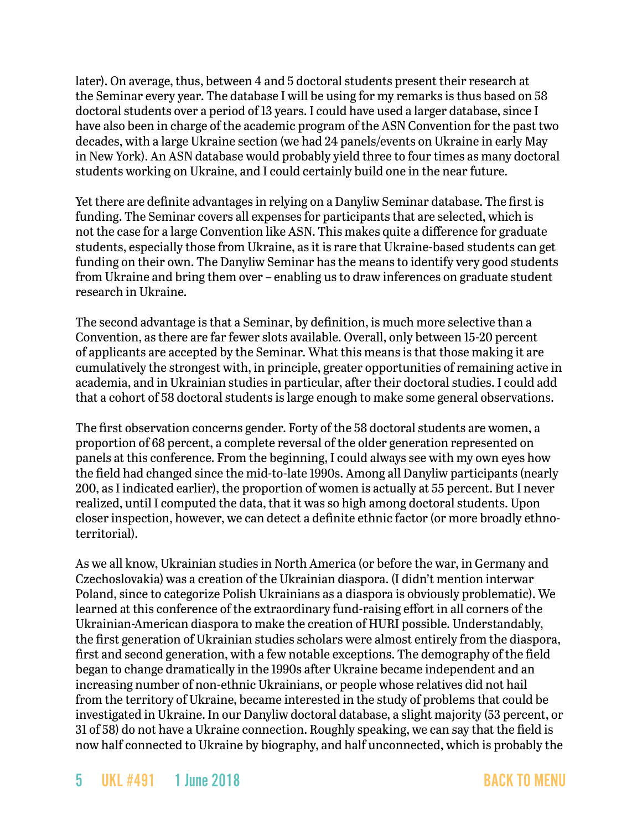later). On average, thus, between 4 and 5 doctoral students present their research at the Seminar every year. The database I will be using for my remarks is thus based on 58 doctoral students over a period of 13 years. I could have used a larger database, since I have also been in charge of the academic program of the ASN Convention for the past two decades, with a large Ukraine section (we had 24 panels/events on Ukraine in early May in New York). An ASN database would probably yield three to four times as many doctoral students working on Ukraine, and I could certainly build one in the near future.

Yet there are definite advantages in relying on a Danyliw Seminar database. The first is funding. The Seminar covers all expenses for participants that are selected, which is not the case for a large Convention like ASN. This makes quite a difference for graduate students, especially those from Ukraine, as it is rare that Ukraine-based students can get funding on their own. The Danyliw Seminar has the means to identify very good students from Ukraine and bring them over – enabling us to draw inferences on graduate student research in Ukraine.

The second advantage is that a Seminar, by definition, is much more selective than a Convention, as there are far fewer slots available. Overall, only between 15-20 percent of applicants are accepted by the Seminar. What this means is that those making it are cumulatively the strongest with, in principle, greater opportunities of remaining active in academia, and in Ukrainian studies in particular, after their doctoral studies. I could add that a cohort of 58 doctoral students is large enough to make some general observations.

The first observation concerns gender. Forty of the 58 doctoral students are women, a proportion of 68 percent, a complete reversal of the older generation represented on panels at this conference. From the beginning, I could always see with my own eyes how the field had changed since the mid-to-late 1990s. Among all Danyliw participants (nearly 200, as I indicated earlier), the proportion of women is actually at 55 percent. But I never realized, until I computed the data, that it was so high among doctoral students. Upon closer inspection, however, we can detect a definite ethnic factor (or more broadly ethnoterritorial).

As we all know, Ukrainian studies in North America (or before the war, in Germany and Czechoslovakia) was a creation of the Ukrainian diaspora. (I didn't mention interwar Poland, since to categorize Polish Ukrainians as a diaspora is obviously problematic). We learned at this conference of the extraordinary fund-raising effort in all corners of the Ukrainian-American diaspora to make the creation of HURI possible. Understandably, the first generation of Ukrainian studies scholars were almost entirely from the diaspora, first and second generation, with a few notable exceptions. The demography of the field began to change dramatically in the 1990s after Ukraine became independent and an increasing number of non-ethnic Ukrainians, or people whose relatives did not hail from the territory of Ukraine, became interested in the study of problems that could be investigated in Ukraine. In our Danyliw doctoral database, a slight majority (53 percent, or 31 of 58) do not have a Ukraine connection. Roughly speaking, we can say that the field is now half connected to Ukraine by biography, and half unconnected, which is probably the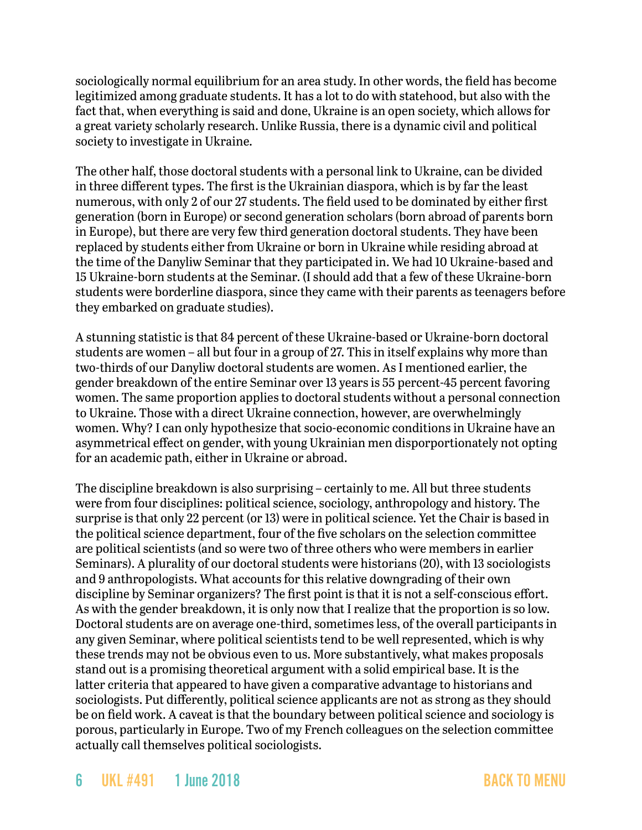sociologically normal equilibrium for an area study. In other words, the field has become legitimized among graduate students. It has a lot to do with statehood, but also with the fact that, when everything is said and done, Ukraine is an open society, which allows for a great variety scholarly research. Unlike Russia, there is a dynamic civil and political society to investigate in Ukraine.

The other half, those doctoral students with a personal link to Ukraine, can be divided in three different types. The first is the Ukrainian diaspora, which is by far the least numerous, with only 2 of our 27 students. The field used to be dominated by either first generation (born in Europe) or second generation scholars (born abroad of parents born in Europe), but there are very few third generation doctoral students. They have been replaced by students either from Ukraine or born in Ukraine while residing abroad at the time of the Danyliw Seminar that they participated in. We had 10 Ukraine-based and 15 Ukraine-born students at the Seminar. (I should add that a few of these Ukraine-born students were borderline diaspora, since they came with their parents as teenagers before they embarked on graduate studies).

A stunning statistic is that 84 percent of these Ukraine-based or Ukraine-born doctoral students are women – all but four in a group of 27. This in itself explains why more than two-thirds of our Danyliw doctoral students are women. As I mentioned earlier, the gender breakdown of the entire Seminar over 13 years is 55 percent-45 percent favoring women. The same proportion applies to doctoral students without a personal connection to Ukraine. Those with a direct Ukraine connection, however, are overwhelmingly women. Why? I can only hypothesize that socio-economic conditions in Ukraine have an asymmetrical effect on gender, with young Ukrainian men disporportionately not opting for an academic path, either in Ukraine or abroad.

The discipline breakdown is also surprising – certainly to me. All but three students were from four disciplines: political science, sociology, anthropology and history. The surprise is that only 22 percent (or 13) were in political science. Yet the Chair is based in the political science department, four of the five scholars on the selection committee are political scientists (and so were two of three others who were members in earlier Seminars). A plurality of our doctoral students were historians (20), with 13 sociologists and 9 anthropologists. What accounts for this relative downgrading of their own discipline by Seminar organizers? The first point is that it is not a self-conscious effort. As with the gender breakdown, it is only now that I realize that the proportion is so low. Doctoral students are on average one-third, sometimes less, of the overall participants in any given Seminar, where political scientists tend to be well represented, which is why these trends may not be obvious even to us. More substantively, what makes proposals stand out is a promising theoretical argument with a solid empirical base. It is the latter criteria that appeared to have given a comparative advantage to historians and sociologists. Put differently, political science applicants are not as strong as they should be on field work. A caveat is that the boundary between political science and sociology is porous, particularly in Europe. Two of my French colleagues on the selection committee actually call themselves political sociologists.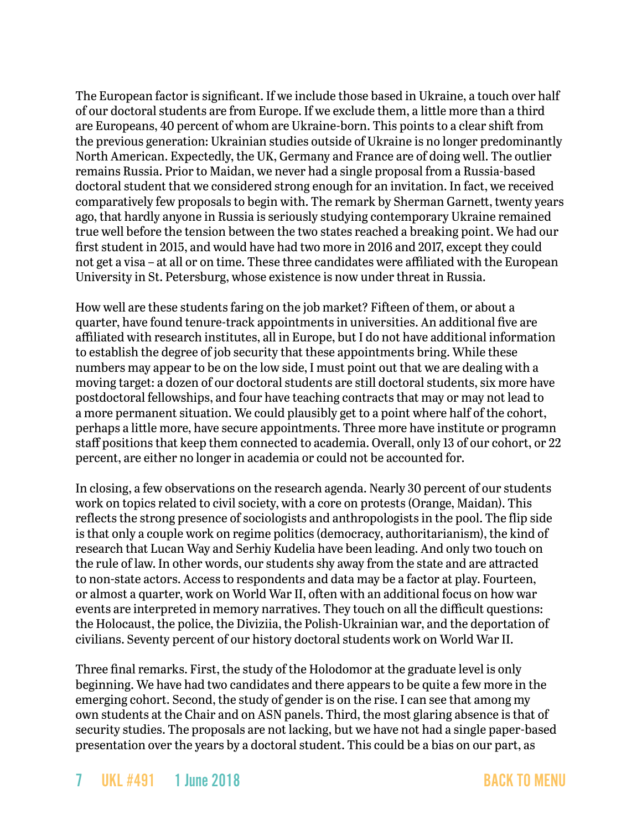The European factor is significant. If we include those based in Ukraine, a touch over half of our doctoral students are from Europe. If we exclude them, a little more than a third are Europeans, 40 percent of whom are Ukraine-born. This points to a clear shift from the previous generation: Ukrainian studies outside of Ukraine is no longer predominantly North American. Expectedly, the UK, Germany and France are of doing well. The outlier remains Russia. Prior to Maidan, we never had a single proposal from a Russia-based doctoral student that we considered strong enough for an invitation. In fact, we received comparatively few proposals to begin with. The remark by Sherman Garnett, twenty years ago, that hardly anyone in Russia is seriously studying contemporary Ukraine remained true well before the tension between the two states reached a breaking point. We had our first student in 2015, and would have had two more in 2016 and 2017, except they could not get a visa – at all or on time. These three candidates were affiliated with the European University in St. Petersburg, whose existence is now under threat in Russia.

How well are these students faring on the job market? Fifteen of them, or about a quarter, have found tenure-track appointments in universities. An additional five are affiliated with research institutes, all in Europe, but I do not have additional information to establish the degree of job security that these appointments bring. While these numbers may appear to be on the low side, I must point out that we are dealing with a moving target: a dozen of our doctoral students are still doctoral students, six more have postdoctoral fellowships, and four have teaching contracts that may or may not lead to a more permanent situation. We could plausibly get to a point where half of the cohort, perhaps a little more, have secure appointments. Three more have institute or programn staff positions that keep them connected to academia. Overall, only 13 of our cohort, or 22 percent, are either no longer in academia or could not be accounted for.

In closing, a few observations on the research agenda. Nearly 30 percent of our students work on topics related to civil society, with a core on protests (Orange, Maidan). This reflects the strong presence of sociologists and anthropologists in the pool. The flip side is that only a couple work on regime politics (democracy, authoritarianism), the kind of research that Lucan Way and Serhiy Kudelia have been leading. And only two touch on the rule of law. In other words, our students shy away from the state and are attracted to non-state actors. Access to respondents and data may be a factor at play. Fourteen, or almost a quarter, work on World War II, often with an additional focus on how war events are interpreted in memory narratives. They touch on all the difficult questions: the Holocaust, the police, the Diviziia, the Polish-Ukrainian war, and the deportation of civilians. Seventy percent of our history doctoral students work on World War II.

Three final remarks. First, the study of the Holodomor at the graduate level is only beginning. We have had two candidates and there appears to be quite a few more in the emerging cohort. Second, the study of gender is on the rise. I can see that among my own students at the Chair and on ASN panels. Third, the most glaring absence is that of security studies. The proposals are not lacking, but we have not had a single paper-based presentation over the years by a doctoral student. This could be a bias on our part, as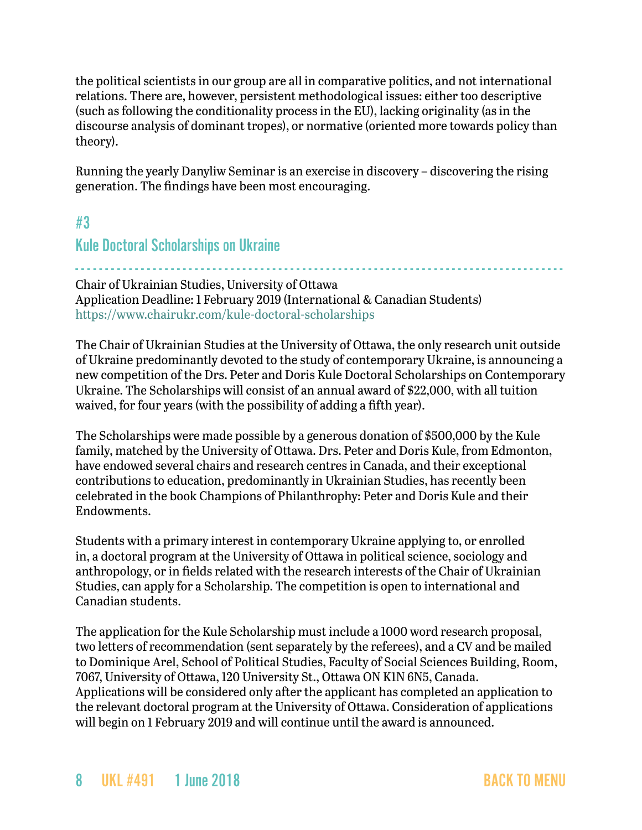the political scientists in our group are all in comparative politics, and not international relations. There are, however, persistent methodological issues: either too descriptive (such as following the conditionality process in the EU), lacking originality (as in the discourse analysis of dominant tropes), or normative (oriented more towards policy than theory).

Running the yearly Danyliw Seminar is an exercise in discovery – discovering the rising generation. The findings have been most encouraging.

<span id="page-7-0"></span>#3

# Kule Doctoral Scholarships on Ukraine

- - - - - - - - - - - - - - - - - - - - - - - - - - - - - - - - - - - - - - - - - - - - - - - - - - - - - - - - - - - - - - - - - - - - - - - - - - - - - - - - - - Chair of Ukrainian Studies, University of Ottawa Application Deadline: 1 February 2019 (International & Canadian Students) <https://www.chairukr.com/kule-doctoral-scholarships>

The Chair of Ukrainian Studies at the University of Ottawa, the only research unit outside of Ukraine predominantly devoted to the study of contemporary Ukraine, is announcing a new competition of the Drs. Peter and Doris Kule Doctoral Scholarships on Contemporary Ukraine. The Scholarships will consist of an annual award of \$22,000, with all tuition waived, for four years (with the possibility of adding a fifth year).

The Scholarships were made possible by a generous donation of \$500,000 by the Kule family, matched by the University of Ottawa. Drs. Peter and Doris Kule, from Edmonton, have endowed several chairs and research centres in Canada, and their exceptional contributions to education, predominantly in Ukrainian Studies, has recently been celebrated in the book Champions of Philanthrophy: Peter and Doris Kule and their Endowments.

Students with a primary interest in contemporary Ukraine applying to, or enrolled in, a doctoral program at the University of Ottawa in political science, sociology and anthropology, or in fields related with the research interests of the Chair of Ukrainian Studies, can apply for a Scholarship. The competition is open to international and Canadian students.

The application for the Kule Scholarship must include a 1000 word research proposal, two letters of recommendation (sent separately by the referees), and a CV and be mailed to Dominique Arel, School of Political Studies, Faculty of Social Sciences Building, Room, 7067, University of Ottawa, 120 University St., Ottawa ON K1N 6N5, Canada. Applications will be considered only after the applicant has completed an application to the relevant doctoral program at the University of Ottawa. Consideration of applications will begin on 1 February 2019 and will continue until the award is announced.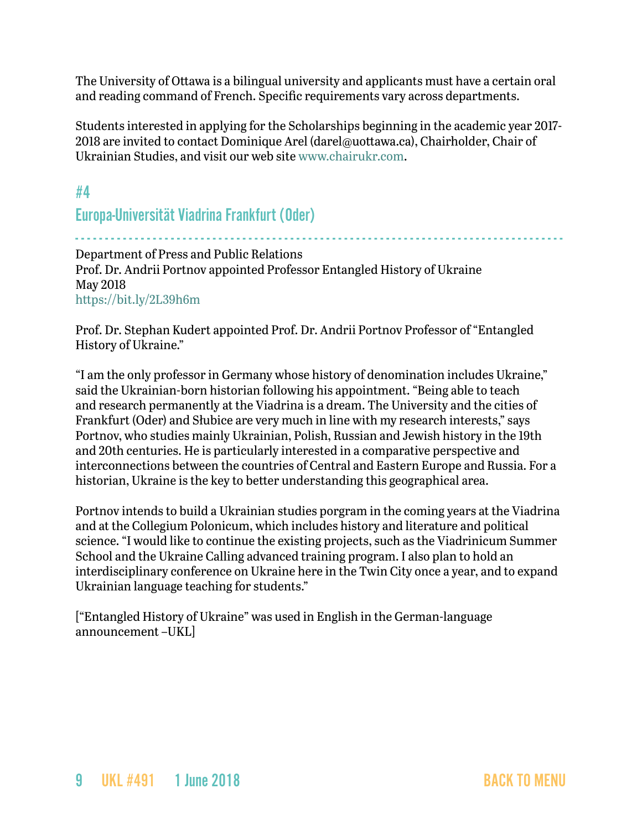The University of Ottawa is a bilingual university and applicants must have a certain oral and reading command of French. Specific requirements vary across departments.

Students interested in applying for the Scholarships beginning in the academic year 2017- 2018 are invited to contact Dominique Arel [\(darel@uottawa.ca](mailto:darel@uottawa.ca)), Chairholder, Chair of Ukrainian Studies, and visit our web site [www.chairukr.com](http://www.chairukr.com).

#4

Europa-Universität Viadrina Frankfurt (Oder)

- - - - - - - - - - - - - - - - - - - - - - - - - - - - - - - - - - - - - - - - - - - - - - - - - - - - - - - - - - - - - - - - - - - - - - - - - - - - - - - - - - Department of Press and Public Relations Prof. Dr. Andrii Portnov appointed Professor Entangled History of Ukraine May 2018 <https://bit.ly/2L39h6m>

Prof. Dr. Stephan Kudert appointed Prof. Dr. Andrii Portnov Professor of "Entangled History of Ukraine."

"I am the only professor in Germany whose history of denomination includes Ukraine," said the Ukrainian-born historian following his appointment. "Being able to teach and research permanently at the Viadrina is a dream. The University and the cities of Frankfurt (Oder) and Słubice are very much in line with my research interests," says Portnov, who studies mainly Ukrainian, Polish, Russian and Jewish history in the 19th and 20th centuries. He is particularly interested in a comparative perspective and interconnections between the countries of Central and Eastern Europe and Russia. For a historian, Ukraine is the key to better understanding this geographical area.

Portnov intends to build a Ukrainian studies porgram in the coming years at the Viadrina and at the Collegium Polonicum, which includes history and literature and political science. "I would like to continue the existing projects, such as the Viadrinicum Summer School and the Ukraine Calling advanced training program. I also plan to hold an interdisciplinary conference on Ukraine here in the Twin City once a year, and to expand Ukrainian language teaching for students."

["Entangled History of Ukraine" was used in English in the German-language announcement –UKL]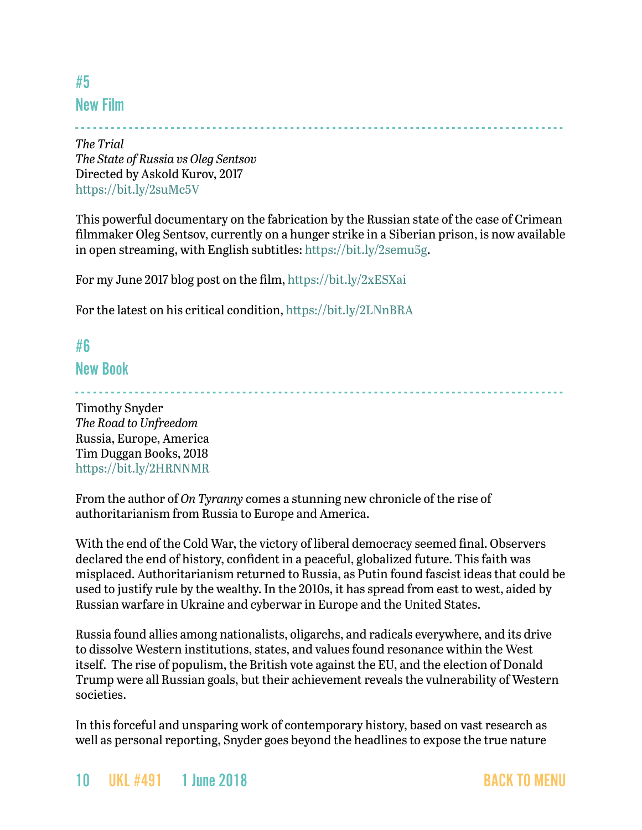<span id="page-9-0"></span>#5 New Film

- - - - - - - - - - - - - - - - - - - - - - - - - - - - - - - - - - - - - - - - - - - - - - - - - - - - - - - - - - - - - - - - - - - - - - - - - - - - - - - - - -

*The Trial The State of Russia vs Oleg Sentsov* Directed by Askold Kurov, 2017 <https://bit.ly/2suMc5V>

This powerful documentary on the fabrication by the Russian state of the case of Crimean filmmaker Oleg Sentsov, currently on a hunger strike in a Siberian prison, is now available in open streaming, with English subtitles: <https://bit.ly/2semu5g>.

For my June 2017 blog post on the film,<https://bit.ly/2xESXai>

For the latest on his critical condition, <https://bit.ly/2LNnBRA>

<span id="page-9-1"></span>#6

New Book

- - - - - - - - - - - - - - - - - - - - - - - - - - - - - - - - - - - - - - - - - - - - - - - - - - - - - - - - - - - - - - - - - - - - - - - - - - - - - - - - - -

Timothy Snyder *The Road to Unfreedom* Russia, Europe, America Tim Duggan Books, 2018 <https://bit.ly/2HRNNMR>

From the author of *On Tyranny* comes a stunning new chronicle of the rise of authoritarianism from Russia to Europe and America.

With the end of the Cold War, the victory of liberal democracy seemed final. Observers declared the end of history, confident in a peaceful, globalized future. This faith was misplaced. Authoritarianism returned to Russia, as Putin found fascist ideas that could be used to justify rule by the wealthy. In the 2010s, it has spread from east to west, aided by Russian warfare in Ukraine and cyberwar in Europe and the United States.

Russia found allies among nationalists, oligarchs, and radicals everywhere, and its drive to dissolve Western institutions, states, and values found resonance within the West itself. The rise of populism, the British vote against the EU, and the election of Donald Trump were all Russian goals, but their achievement reveals the vulnerability of Western societies.

In this forceful and unsparing work of contemporary history, based on vast research as well as personal reporting, Snyder goes beyond the headlines to expose the true nature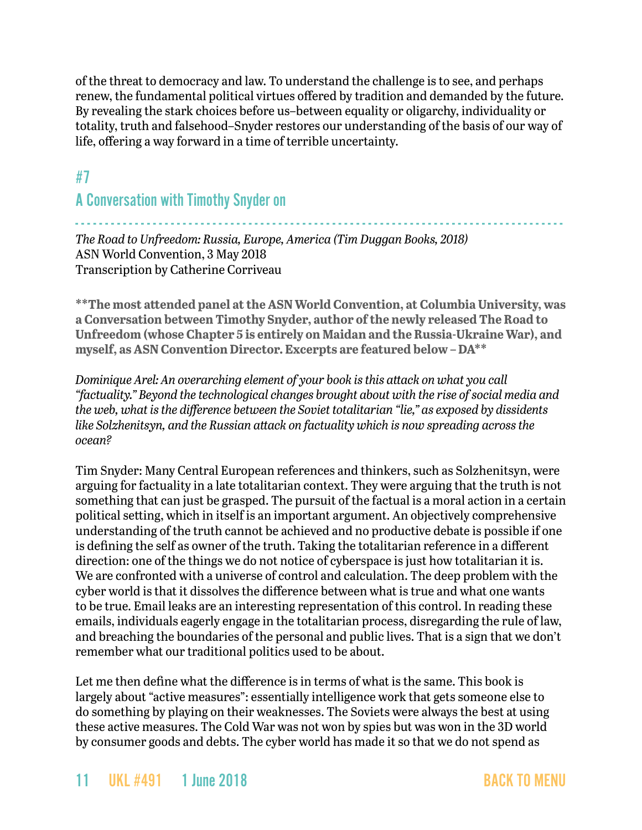of the threat to democracy and law. To understand the challenge is to see, and perhaps renew, the fundamental political virtues offered by tradition and demanded by the future. By revealing the stark choices before us–between equality or oligarchy, individuality or totality, truth and falsehood–Snyder restores our understanding of the basis of our way of life, offering a way forward in a time of terrible uncertainty.

## <span id="page-10-0"></span>#7

### A Conversation with Timothy Snyder on

- - - - - - - - - - - - - - - - - - - - - - - - - - - - - - - - - - - - - - - - - - - - - - - - - - - - - - - - - - - - - - - - - - - - - - - - - - - - - - - - - - *The Road to Unfreedom: Russia, Europe, America (Tim Duggan Books, 2018)* ASN World Convention, 3 May 2018 Transcription by Catherine Corriveau

**\*\*The most attended panel at the ASN World Convention, at Columbia University, was a Conversation between Timothy Snyder, author of the newly released The Road to Unfreedom (whose Chapter 5 is entirely on Maidan and the Russia-Ukraine War), and myself, as ASN Convention Director. Excerpts are featured below – DA\*\***

*Dominique Arel: An overarching element of your book is this attack on what you call "factuality." Beyond the technological changes brought about with the rise of social media and the web, what is the difference between the Soviet totalitarian "lie," as exposed by dissidents like Solzhenitsyn, and the Russian attack on factuality which is now spreading across the ocean?* 

Tim Snyder: Many Central European references and thinkers, such as Solzhenitsyn, were arguing for factuality in a late totalitarian context. They were arguing that the truth is not something that can just be grasped. The pursuit of the factual is a moral action in a certain political setting, which in itself is an important argument. An objectively comprehensive understanding of the truth cannot be achieved and no productive debate is possible if one is defining the self as owner of the truth. Taking the totalitarian reference in a different direction: one of the things we do not notice of cyberspace is just how totalitarian it is. We are confronted with a universe of control and calculation. The deep problem with the cyber world is that it dissolves the difference between what is true and what one wants to be true. Email leaks are an interesting representation of this control. In reading these emails, individuals eagerly engage in the totalitarian process, disregarding the rule of law, and breaching the boundaries of the personal and public lives. That is a sign that we don't remember what our traditional politics used to be about.

Let me then define what the difference is in terms of what is the same. This book is largely about "active measures": essentially intelligence work that gets someone else to do something by playing on their weaknesses. The Soviets were always the best at using these active measures. The Cold War was not won by spies but was won in the 3D world by consumer goods and debts. The cyber world has made it so that we do not spend as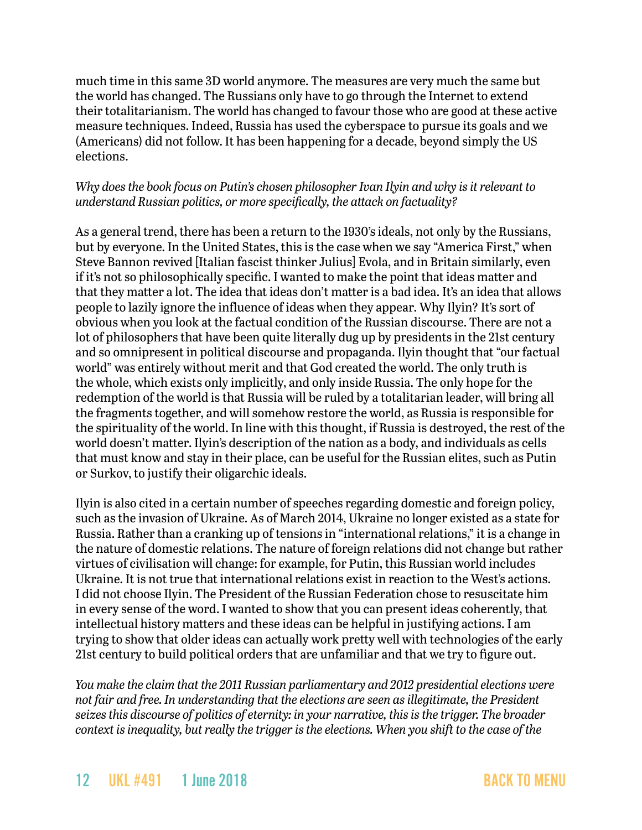much time in this same 3D world anymore. The measures are very much the same but the world has changed. The Russians only have to go through the Internet to extend their totalitarianism. The world has changed to favour those who are good at these active measure techniques. Indeed, Russia has used the cyberspace to pursue its goals and we (Americans) did not follow. It has been happening for a decade, beyond simply the US elections.

### *Why does the book focus on Putin's chosen philosopher Ivan Ilyin and why is it relevant to understand Russian politics, or more specifically, the attack on factuality?*

As a general trend, there has been a return to the 1930's ideals, not only by the Russians, but by everyone. In the United States, this is the case when we say "America First," when Steve Bannon revived [Italian fascist thinker Julius] Evola, and in Britain similarly, even if it's not so philosophically specific. I wanted to make the point that ideas matter and that they matter a lot. The idea that ideas don't matter is a bad idea. It's an idea that allows people to lazily ignore the influence of ideas when they appear. Why Ilyin? It's sort of obvious when you look at the factual condition of the Russian discourse. There are not a lot of philosophers that have been quite literally dug up by presidents in the 21st century and so omnipresent in political discourse and propaganda. Ilyin thought that "our factual world" was entirely without merit and that God created the world. The only truth is the whole, which exists only implicitly, and only inside Russia. The only hope for the redemption of the world is that Russia will be ruled by a totalitarian leader, will bring all the fragments together, and will somehow restore the world, as Russia is responsible for the spirituality of the world. In line with this thought, if Russia is destroyed, the rest of the world doesn't matter. Ilyin's description of the nation as a body, and individuals as cells that must know and stay in their place, can be useful for the Russian elites, such as Putin or Surkov, to justify their oligarchic ideals.

Ilyin is also cited in a certain number of speeches regarding domestic and foreign policy, such as the invasion of Ukraine. As of March 2014, Ukraine no longer existed as a state for Russia. Rather than a cranking up of tensions in "international relations," it is a change in the nature of domestic relations. The nature of foreign relations did not change but rather virtues of civilisation will change: for example, for Putin, this Russian world includes Ukraine. It is not true that international relations exist in reaction to the West's actions. I did not choose Ilyin. The President of the Russian Federation chose to resuscitate him in every sense of the word. I wanted to show that you can present ideas coherently, that intellectual history matters and these ideas can be helpful in justifying actions. I am trying to show that older ideas can actually work pretty well with technologies of the early 21st century to build political orders that are unfamiliar and that we try to figure out.

*You make the claim that the 2011 Russian parliamentary and 2012 presidential elections were not fair and free. In understanding that the elections are seen as illegitimate, the President seizes this discourse of politics of eternity: in your narrative, this is the trigger. The broader context is inequality, but really the trigger is the elections. When you shift to the case of the*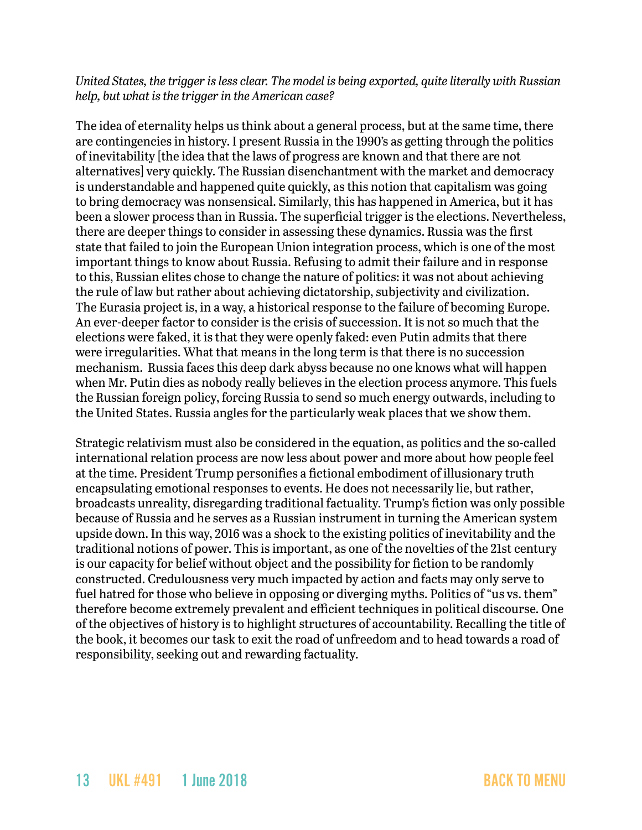*United States, the trigger is less clear. The model is being exported, quite literally with Russian help, but what is the trigger in the American case?* 

The idea of eternality helps us think about a general process, but at the same time, there are contingencies in history. I present Russia in the 1990's as getting through the politics of inevitability [the idea that the laws of progress are known and that there are not alternatives] very quickly. The Russian disenchantment with the market and democracy is understandable and happened quite quickly, as this notion that capitalism was going to bring democracy was nonsensical. Similarly, this has happened in America, but it has been a slower process than in Russia. The superficial trigger is the elections. Nevertheless, there are deeper things to consider in assessing these dynamics. Russia was the first state that failed to join the European Union integration process, which is one of the most important things to know about Russia. Refusing to admit their failure and in response to this, Russian elites chose to change the nature of politics: it was not about achieving the rule of law but rather about achieving dictatorship, subjectivity and civilization. The Eurasia project is, in a way, a historical response to the failure of becoming Europe. An ever-deeper factor to consider is the crisis of succession. It is not so much that the elections were faked, it is that they were openly faked: even Putin admits that there were irregularities. What that means in the long term is that there is no succession mechanism. Russia faces this deep dark abyss because no one knows what will happen when Mr. Putin dies as nobody really believes in the election process anymore. This fuels the Russian foreign policy, forcing Russia to send so much energy outwards, including to the United States. Russia angles for the particularly weak places that we show them.

Strategic relativism must also be considered in the equation, as politics and the so-called international relation process are now less about power and more about how people feel at the time. President Trump personifies a fictional embodiment of illusionary truth encapsulating emotional responses to events. He does not necessarily lie, but rather, broadcasts unreality, disregarding traditional factuality. Trump's fiction was only possible because of Russia and he serves as a Russian instrument in turning the American system upside down. In this way, 2016 was a shock to the existing politics of inevitability and the traditional notions of power. This is important, as one of the novelties of the 21st century is our capacity for belief without object and the possibility for fiction to be randomly constructed. Credulousness very much impacted by action and facts may only serve to fuel hatred for those who believe in opposing or diverging myths. Politics of "us vs. them" therefore become extremely prevalent and efficient techniques in political discourse. One of the objectives of history is to highlight structures of accountability. Recalling the title of the book, it becomes our task to exit the road of unfreedom and to head towards a road of responsibility, seeking out and rewarding factuality.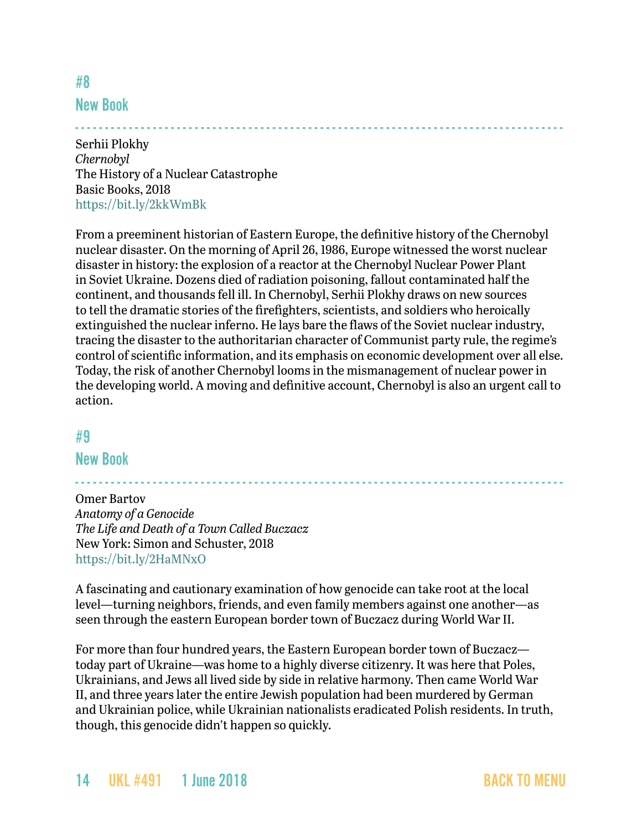# New Book

<span id="page-13-0"></span>#8

- - - - - - - - - - - - - - - - - - - - - - - - - - - - - - - - - - - - - - - - - - - - - - - - - - - - - - - - - - - - - - - - - - - - - - - - - - - - - - - - - -

Serhii Plokhy *Chernobyl* The History of a Nuclear Catastrophe Basic Books, 2018 <https://bit.ly/2kkWmBk>

From a preeminent historian of Eastern Europe, the definitive history of the Chernobyl nuclear disaster. On the morning of April 26, 1986, Europe witnessed the worst nuclear disaster in history: the explosion of a reactor at the Chernobyl Nuclear Power Plant in Soviet Ukraine. Dozens died of radiation poisoning, fallout contaminated half the continent, and thousands fell ill. In Chernobyl, Serhii Plokhy draws on new sources to tell the dramatic stories of the firefighters, scientists, and soldiers who heroically extinguished the nuclear inferno. He lays bare the flaws of the Soviet nuclear industry, tracing the disaster to the authoritarian character of Communist party rule, the regime's control of scientific information, and its emphasis on economic development over all else. Today, the risk of another Chernobyl looms in the mismanagement of nuclear power in the developing world. A moving and definitive account, Chernobyl is also an urgent call to action.

### <span id="page-13-1"></span>#9

### New Book

- - - - - - - - - - - - - - - - - - - - - - - - - - - - - - - - - - - - - - - - - - - - - - - - - - - - - - - - - - - - - - - - - - - - - - - - - - - - - - - - - - Omer Bartov *Anatomy of a Genocide The Life and Death of a Town Called Buczacz* New York: Simon and Schuster, 2018 <https://bit.ly/2HaMNxO>

A fascinating and cautionary examination of how genocide can take root at the local level—turning neighbors, friends, and even family members against one another—as seen through the eastern European border town of Buczacz during World War II.

For more than four hundred years, the Eastern European border town of Buczacz today part of Ukraine—was home to a highly diverse citizenry. It was here that Poles, Ukrainians, and Jews all lived side by side in relative harmony. Then came World War II, and three years later the entire Jewish population had been murdered by German and Ukrainian police, while Ukrainian nationalists eradicated Polish residents. In truth, though, this genocide didn't happen so quickly.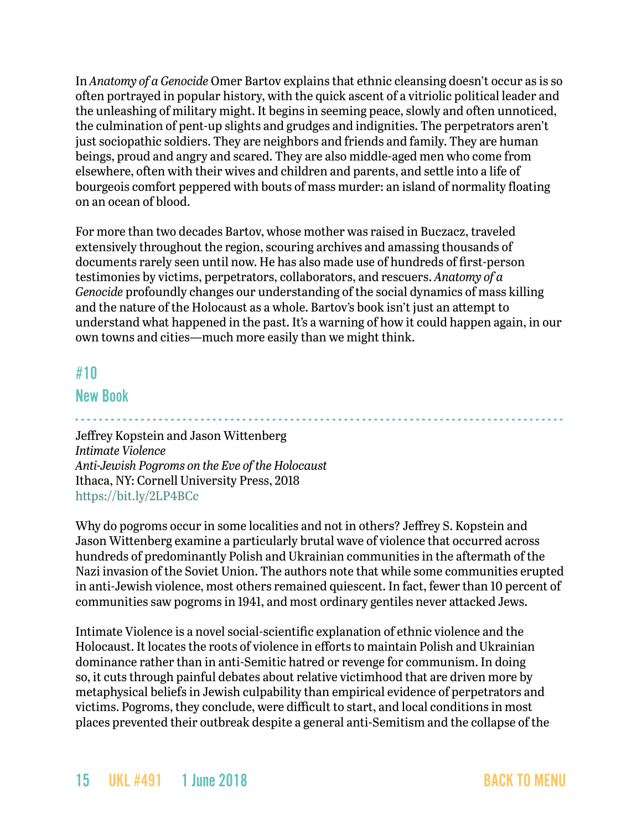In *Anatomy of a Genocide* Omer Bartov explains that ethnic cleansing doesn't occur as is so often portrayed in popular history, with the quick ascent of a vitriolic political leader and the unleashing of military might. It begins in seeming peace, slowly and often unnoticed, the culmination of pent-up slights and grudges and indignities. The perpetrators aren't just sociopathic soldiers. They are neighbors and friends and family. They are human beings, proud and angry and scared. They are also middle-aged men who come from elsewhere, often with their wives and children and parents, and settle into a life of bourgeois comfort peppered with bouts of mass murder: an island of normality floating on an ocean of blood.

For more than two decades Bartov, whose mother was raised in Buczacz, traveled extensively throughout the region, scouring archives and amassing thousands of documents rarely seen until now. He has also made use of hundreds of first-person testimonies by victims, perpetrators, collaborators, and rescuers. *Anatomy of a Genocide* profoundly changes our understanding of the social dynamics of mass killing and the nature of the Holocaust as a whole. Bartov's book isn't just an attempt to understand what happened in the past. It's a warning of how it could happen again, in our own towns and cities—much more easily than we might think.

# <span id="page-14-0"></span>#10

### New Book

- - - - - - - - - - - - - - - - - - - - - - - - - - - - - - - - - - - - - - - - - - - - - - - - - - - - - - - - - - - - - - - - - - - - - - - - - - - - - - - - - -

Jeffrey Kopstein and Jason Wittenberg *Intimate Violence Anti-Jewish Pogroms on the Eve of the Holocaust* Ithaca, NY: Cornell University Press, 2018 <https://bit.ly/2LP4BCc>

Why do pogroms occur in some localities and not in others? Jeffrey S. Kopstein and Jason Wittenberg examine a particularly brutal wave of violence that occurred across hundreds of predominantly Polish and Ukrainian communities in the aftermath of the Nazi invasion of the Soviet Union. The authors note that while some communities erupted in anti-Jewish violence, most others remained quiescent. In fact, fewer than 10 percent of communities saw pogroms in 1941, and most ordinary gentiles never attacked Jews.

Intimate Violence is a novel social-scientific explanation of ethnic violence and the Holocaust. It locates the roots of violence in efforts to maintain Polish and Ukrainian dominance rather than in anti-Semitic hatred or revenge for communism. In doing so, it cuts through painful debates about relative victimhood that are driven more by metaphysical beliefs in Jewish culpability than empirical evidence of perpetrators and victims. Pogroms, they conclude, were difficult to start, and local conditions in most places prevented their outbreak despite a general anti-Semitism and the collapse of the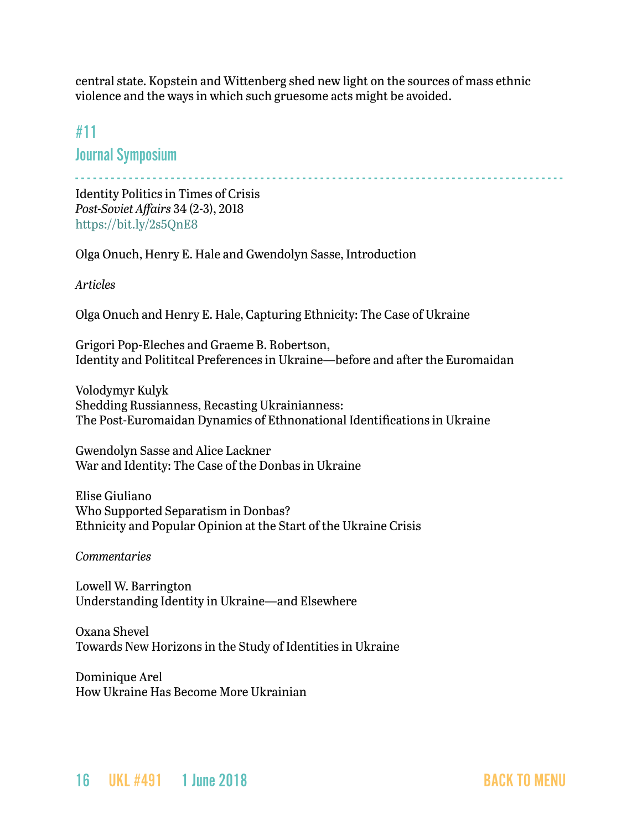central state. Kopstein and Wittenberg shed new light on the sources of mass ethnic violence and the ways in which such gruesome acts might be avoided.

# <span id="page-15-0"></span>#11 Journal Symposium

- - - - - - - - - - - - - - - - - - - - - - - - - - - - - - - - - - - - - - - - - - - - - - - - - - - - - - - - - - - - - - - - - - - - - - - - - - - - - - - - - -

Identity Politics in Times of Crisis *Post-Soviet Affairs* 34 (2-3), 2018 <https://bit.ly/2s5QnE8>

Olga Onuch, Henry E. Hale and Gwendolyn Sasse, Introduction

*Articles*

Olga Onuch and Henry E. Hale, Capturing Ethnicity: The Case of Ukraine

Grigori Pop-Eleches and Graeme B. Robertson, Identity and Polititcal Preferences in Ukraine—before and after the Euromaidan

Volodymyr Kulyk Shedding Russianness, Recasting Ukrainianness: The Post-Euromaidan Dynamics of Ethnonational Identifications in Ukraine

Gwendolyn Sasse and Alice Lackner War and Identity: The Case of the Donbas in Ukraine

Elise Giuliano Who Supported Separatism in Donbas? Ethnicity and Popular Opinion at the Start of the Ukraine Crisis

*Commentaries*

Lowell W. Barrington Understanding Identity in Ukraine—and Elsewhere

Oxana Shevel Towards New Horizons in the Study of Identities in Ukraine

Dominique Arel How Ukraine Has Become More Ukrainian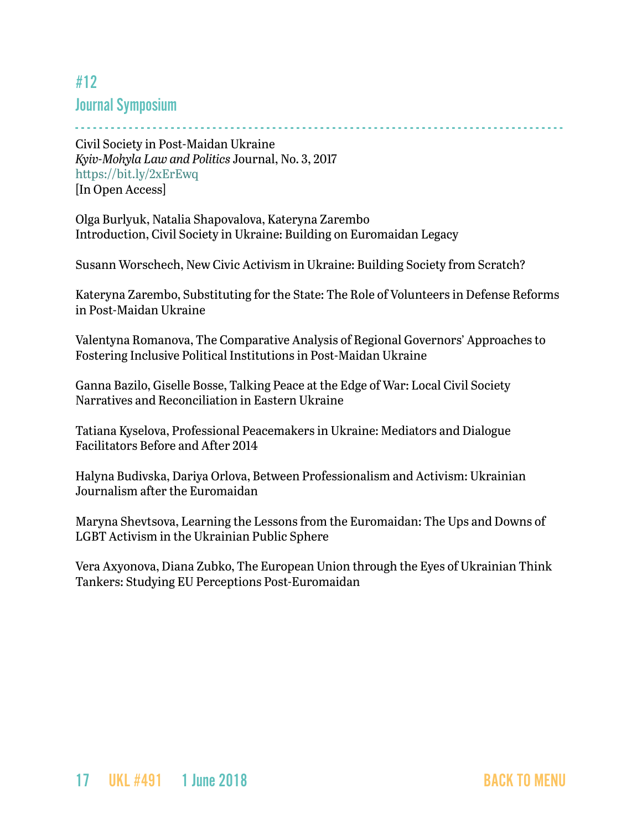# <span id="page-16-0"></span>#12 Journal Symposium

- - - - - - - - - - - - - - - - - - - - - - - - - - - - - - - - - - - - - - - - - - - - - - - - - - - - - - - - - - - - - - - - - - - - - - - - - - - - - - - - - - Civil Society in Post-Maidan Ukraine *Kyiv-Mohyla Law and Politics* Journal, No. 3, 2017 <https://bit.ly/2xErEwq> [In Open Access]

Olga Burlyuk, Natalia Shapovalova, Kateryna Zarembo Introduction, Civil Society in Ukraine: Building on Euromaidan Legacy

Susann Worschech, New Civic Activism in Ukraine: Building Society from Scratch?

Kateryna Zarembo, Substituting for the State: The Role of Volunteers in Defense Reforms in Post-Maidan Ukraine

Valentyna Romanova, The Comparative Analysis of Regional Governors' Approaches to Fostering Inclusive Political Institutions in Post-Maidan Ukraine

Ganna Bazilo, Giselle Bosse, Talking Peace at the Edge of War: Local Civil Society Narratives and Reconciliation in Eastern Ukraine

Tatiana Kyselova, Professional Peacemakers in Ukraine: Mediators and Dialogue Facilitators Before and After 2014

Halyna Budivska, Dariya Orlova, Between Professionalism and Activism: Ukrainian Journalism after the Euromaidan

Maryna Shevtsova, Learning the Lessons from the Euromaidan: The Ups and Downs of LGBT Activism in the Ukrainian Public Sphere

Vera Axyonova, Diana Zubko, The European Union through the Eyes of Ukrainian Think Tankers: Studying EU Perceptions Post-Euromaidan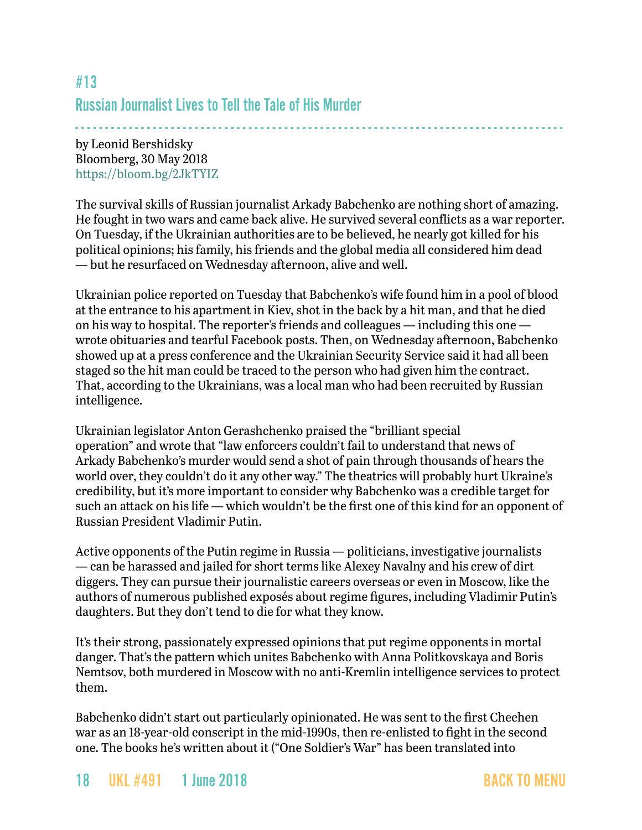# <span id="page-17-0"></span>#13 Russian Journalist Lives to Tell the Tale of His Murder

- - - - - - - - - - - - - - - - - - - - - - - - - - - - - - - - - - - - - - - - - - - - - - - - - - - - - - - - - - - - - - - - - - - - - - - - - - - - - - - - - by Leonid Bershidsky Bloomberg, 30 May 2018 <https://bloom.bg/2JkTYIZ>

The survival skills of Russian journalist Arkady Babchenko are nothing short of amazing. He fought in two wars and came back alive. He survived several conflicts as a war reporter. On Tuesday, if the Ukrainian authorities are to be believed, he nearly got killed for his political opinions; his family, his friends and the global media all considered him dead — but he resurfaced on Wednesday afternoon, alive and well.

Ukrainian police reported on Tuesday that Babchenko's wife found him in a pool of blood at the entrance to his apartment in Kiev, shot in the back by a hit man, and that he died on his way to hospital. The reporter's friends and colleagues — including this one wrote obituaries and tearful Facebook posts. Then, on Wednesday afternoon, Babchenko showed up at a press conference and the Ukrainian Security Service said it had all been staged so the hit man could be traced to the person who had given him the contract. That, according to the Ukrainians, was a local man who had been recruited by Russian intelligence.

Ukrainian legislator Anton Gerashchenko praised the "brilliant special operation" and wrote that "law enforcers couldn't fail to understand that news of Arkady Babchenko's murder would send a shot of pain through thousands of hears the world over, they couldn't do it any other way." The theatrics will probably hurt Ukraine's credibility, but it's more important to consider why Babchenko was a credible target for such an attack on his life — which wouldn't be the first one of this kind for an opponent of Russian President Vladimir Putin.

Active opponents of the Putin regime in Russia — politicians, investigative journalists — can be harassed and jailed for short terms like Alexey Navalny and his crew of dirt diggers. They can pursue their journalistic careers overseas or even in Moscow, like the authors of numerous published exposés about regime figures, including Vladimir Putin's daughters. But they don't tend to die for what they know.

It's their strong, passionately expressed opinions that put regime opponents in mortal danger. That's the pattern which unites Babchenko with Anna Politkovskaya and Boris Nemtsov, both murdered in Moscow with no anti-Kremlin intelligence services to protect them.

Babchenko didn't start out particularly opinionated. He was sent to the first Chechen war as an 18-year-old conscript in the mid-1990s, then re-enlisted to fight in the second one. The books he's written about it ("One Soldier's War" has been translated into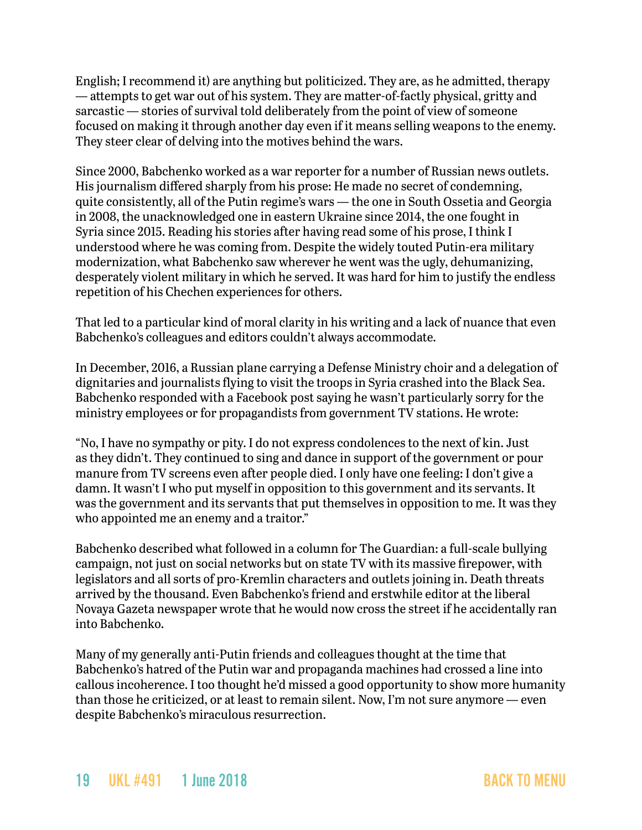English; I recommend it) are anything but politicized. They are, as he admitted, therapy — attempts to get war out of his system. They are matter-of-factly physical, gritty and sarcastic — stories of survival told deliberately from the point of view of someone focused on making it through another day even if it means selling weapons to the enemy. They steer clear of delving into the motives behind the wars.

Since 2000, Babchenko worked as a war reporter for a number of Russian news outlets. His journalism differed sharply from his prose: He made no secret of condemning, quite consistently, all of the Putin regime's wars — the one in South Ossetia and Georgia in 2008, the unacknowledged one in eastern Ukraine since 2014, the one fought in Syria since 2015. Reading his stories after having read some of his prose, I think I understood where he was coming from. Despite the widely touted Putin-era military modernization, what Babchenko saw wherever he went was the ugly, dehumanizing, desperately violent military in which he served. It was hard for him to justify the endless repetition of his Chechen experiences for others.

That led to a particular kind of moral clarity in his writing and a lack of nuance that even Babchenko's colleagues and editors couldn't always accommodate.

In December, 2016, a Russian plane carrying a Defense Ministry choir and a delegation of dignitaries and journalists flying to visit the troops in Syria crashed into the Black Sea. Babchenko responded with a Facebook post saying he wasn't particularly sorry for the ministry employees or for propagandists from government TV stations. He wrote:

"No, I have no sympathy or pity. I do not express condolences to the next of kin. Just as they didn't. They continued to sing and dance in support of the government or pour manure from TV screens even after people died. I only have one feeling: I don't give a damn. It wasn't I who put myself in opposition to this government and its servants. It was the government and its servants that put themselves in opposition to me. It was they who appointed me an enemy and a traitor."

Babchenko described what followed in a column for The Guardian: a full-scale bullying campaign, not just on social networks but on state TV with its massive firepower, with legislators and all sorts of pro-Kremlin characters and outlets joining in. Death threats arrived by the thousand. Even Babchenko's friend and erstwhile editor at the liberal Novaya Gazeta newspaper wrote that he would now cross the street if he accidentally ran into Babchenko.

Many of my generally anti-Putin friends and colleagues thought at the time that Babchenko's hatred of the Putin war and propaganda machines had crossed a line into callous incoherence. I too thought he'd missed a good opportunity to show more humanity than those he criticized, or at least to remain silent. Now, I'm not sure anymore — even despite Babchenko's miraculous resurrection.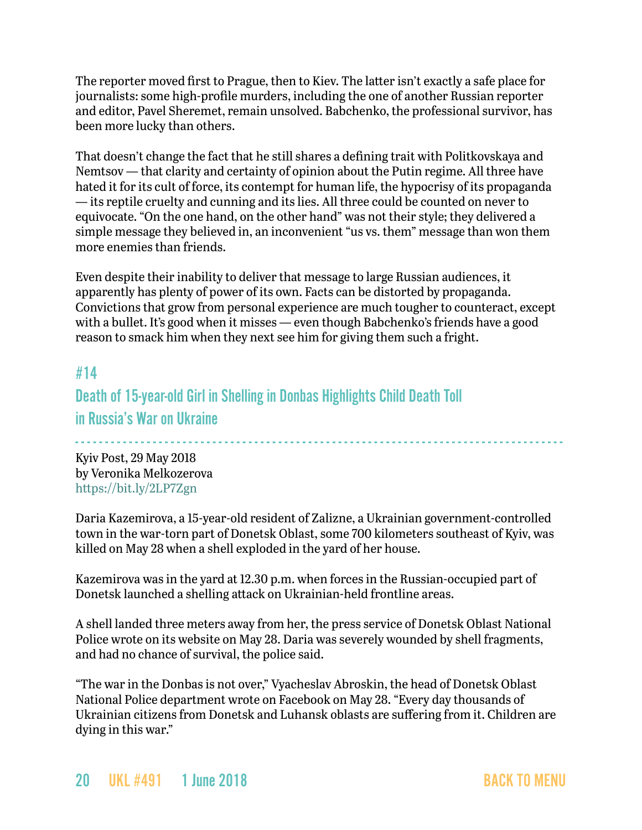The reporter moved first to Prague, then to Kiev. The latter isn't exactly a safe place for journalists: some high-profile murders, including the one of another Russian reporter and editor, Pavel Sheremet, remain unsolved. Babchenko, the professional survivor, has been more lucky than others.

That doesn't change the fact that he still shares a defining trait with Politkovskaya and Nemtsov — that clarity and certainty of opinion about the Putin regime. All three have hated it for its cult of force, its contempt for human life, the hypocrisy of its propaganda — its reptile cruelty and cunning and its lies. All three could be counted on never to equivocate. "On the one hand, on the other hand" was not their style; they delivered a simple message they believed in, an inconvenient "us vs. them" message than won them more enemies than friends.

Even despite their inability to deliver that message to large Russian audiences, it apparently has plenty of power of its own. Facts can be distorted by propaganda. Convictions that grow from personal experience are much tougher to counteract, except with a bullet. It's good when it misses — even though Babchenko's friends have a good reason to smack him when they next see him for giving them such a fright.

### <span id="page-19-0"></span>#14

# Death of 15-year-old Girl in Shelling in Donbas Highlights Child Death Toll in Russia's War on Ukraine

- - - - - - - - - - - - - - - - - - - - - - - - - - - - - - - - - - - - - - - - - - - - - - - - - - - - - - - - - - - - - - - - - - - - - - - - - - - - - - - - - - Kyiv Post, 29 May 2018 by Veronika Melkozerova <https://bit.ly/2LP7Zgn>

Daria Kazemirova, a 15-year-old resident of Zalizne, a Ukrainian government-controlled town in the war-torn part of Donetsk Oblast, some 700 kilometers southeast of Kyiv, was killed on May 28 when a shell exploded in the yard of her house.

Kazemirova was in the yard at 12.30 p.m. when forces in the Russian-occupied part of Donetsk launched a shelling attack on Ukrainian-held frontline areas.

A shell landed three meters away from her, the press service of Donetsk Oblast National Police wrote on its website on May 28. Daria was severely wounded by shell fragments, and had no chance of survival, the police said.

"The war in the Donbas is not over," Vyacheslav Abroskin, the head of Donetsk Oblast National Police department wrote on Facebook on May 28. "Every day thousands of Ukrainian citizens from Donetsk and Luhansk oblasts are suffering from it. Children are dying in this war."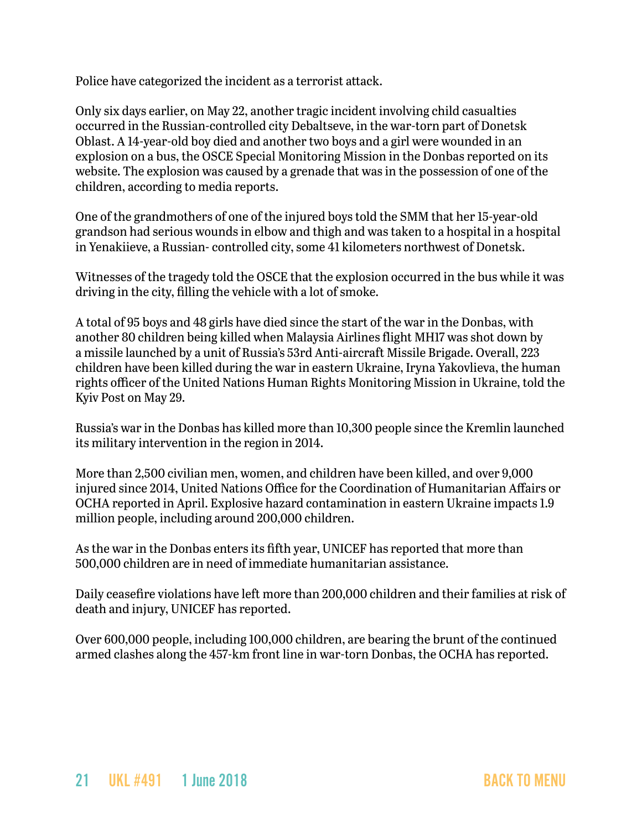Police have categorized the incident as a terrorist attack.

Only six days earlier, on May 22, another tragic incident involving child casualties occurred in the Russian-controlled city Debaltseve, in the war-torn part of Donetsk Oblast. A 14-year-old boy died and another two boys and a girl were wounded in an explosion on a bus, the OSCE Special Monitoring Mission in the Donbas reported on its website. The explosion was caused by a grenade that was in the possession of one of the children, according to media reports.

One of the grandmothers of one of the injured boys told the SMM that her 15-year-old grandson had serious wounds in elbow and thigh and was taken to a hospital in a hospital in Yenakiieve, a Russian- controlled city, some 41 kilometers northwest of Donetsk.

Witnesses of the tragedy told the OSCE that the explosion occurred in the bus while it was driving in the city, filling the vehicle with a lot of smoke.

A total of 95 boys and 48 girls have died since the start of the war in the Donbas, with another 80 children being killed when Malaysia Airlines flight MH17 was shot down by a missile launched by a unit of Russia's 53rd Anti-aircraft Missile Brigade. Overall, 223 children have been killed during the war in eastern Ukraine, Iryna Yakovlieva, the human rights officer of the United Nations Human Rights Monitoring Mission in Ukraine, told the Kyiv Post on May 29.

Russia's war in the Donbas has killed more than 10,300 people since the Kremlin launched its military intervention in the region in 2014.

More than 2,500 civilian men, women, and children have been killed, and over 9,000 injured since 2014, United Nations Office for the Coordination of Humanitarian Affairs or OCHA reported in April. Explosive hazard contamination in eastern Ukraine impacts 1.9 million people, including around 200,000 children.

As the war in the Donbas enters its fifth year, UNICEF has reported that more than 500,000 children are in need of immediate humanitarian assistance.

Daily ceasefire violations have left more than 200,000 children and their families at risk of death and injury, UNICEF has reported.

Over 600,000 people, including 100,000 children, are bearing the brunt of the continued armed clashes along the 457-km front line in war-torn Donbas, the OCHA has reported.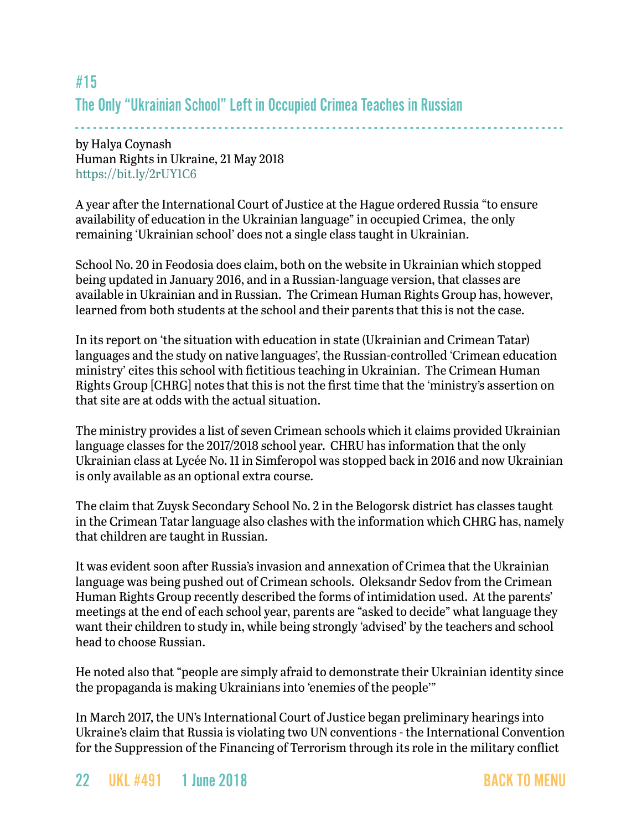# #15 The Only "Ukrainian School" Left in Occupied Crimea Teaches in Russian

- - - - - - - - - - - - - - - - - - - - - - - - - - - - - - - - - - - - - - - - - - - - - - - - - - - - - - - - - - - - - - - - - - - - - - - - - - - - - - - - - by Halya Coynash Human Rights in Ukraine, 21 May 2018 <https://bit.ly/2rUY1C6>

A year after the International Court of Justice at the Hague ordered Russia "to ensure availability of education in the Ukrainian language" in occupied Crimea, the only remaining 'Ukrainian school' does not a single class taught in Ukrainian.

School No. 20 in Feodosia does claim, both on the website in Ukrainian which stopped being updated in January 2016, and in a Russian-language version, that classes are available in Ukrainian and in Russian. The Crimean Human Rights Group has, however, learned from both students at the school and their parents that this is not the case.

In its report on 'the situation with education in state (Ukrainian and Crimean Tatar) languages and the study on native languages', the Russian-controlled 'Crimean education ministry' cites this school with fictitious teaching in Ukrainian. The Crimean Human Rights Group [CHRG] notes that this is not the first time that the 'ministry's assertion on that site are at odds with the actual situation.

The ministry provides a list of seven Crimean schools which it claims provided Ukrainian language classes for the 2017/2018 school year. CHRU has information that the only Ukrainian class at Lycée No. 11 in Simferopol was stopped back in 2016 and now Ukrainian is only available as an optional extra course.

The claim that Zuysk Secondary School No. 2 in the Belogorsk district has classes taught in the Crimean Tatar language also clashes with the information which CHRG has, namely that children are taught in Russian.

It was evident soon after Russia's invasion and annexation of Crimea that the Ukrainian language was being pushed out of Crimean schools. Oleksandr Sedov from the Crimean Human Rights Group recently described the forms of intimidation used. At the parents' meetings at the end of each school year, parents are "asked to decide" what language they want their children to study in, while being strongly 'advised' by the teachers and school head to choose Russian.

He noted also that "people are simply afraid to demonstrate their Ukrainian identity since the propaganda is making Ukrainians into 'enemies of the people'"

In March 2017, the UN's International Court of Justice began preliminary hearings into Ukraine's claim that Russia is violating two UN conventions - the International Convention for the Suppression of the Financing of Terrorism through its role in the military conflict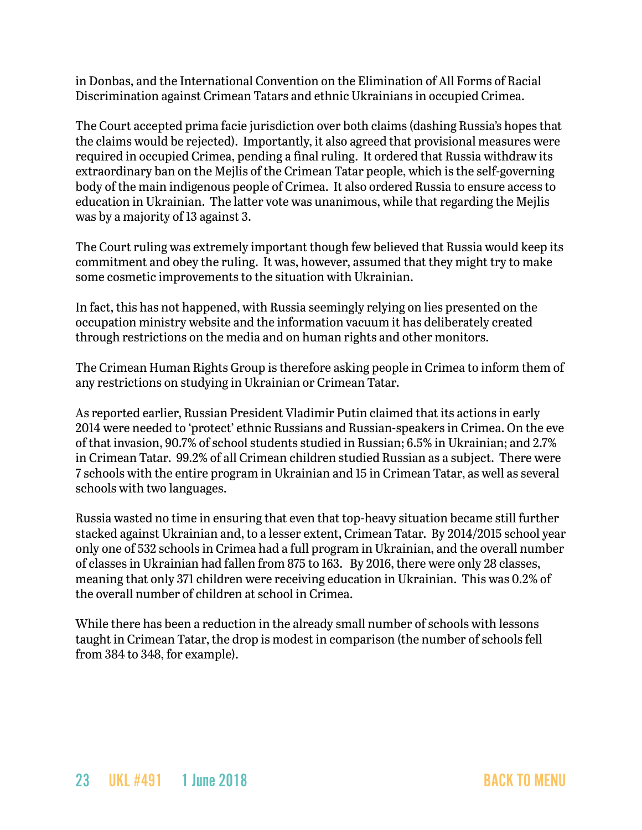in Donbas, and the International Convention on the Elimination of All Forms of Racial Discrimination against Crimean Tatars and ethnic Ukrainians in occupied Crimea.

The Court accepted prima facie jurisdiction over both claims (dashing Russia's hopes that the claims would be rejected). Importantly, it also agreed that provisional measures were required in occupied Crimea, pending a final ruling. It ordered that Russia withdraw its extraordinary ban on the Mejlis of the Crimean Tatar people, which is the self-governing body of the main indigenous people of Crimea. It also ordered Russia to ensure access to education in Ukrainian. The latter vote was unanimous, while that regarding the Mejlis was by a majority of 13 against 3.

The Court ruling was extremely important though few believed that Russia would keep its commitment and obey the ruling. It was, however, assumed that they might try to make some cosmetic improvements to the situation with Ukrainian.

In fact, this has not happened, with Russia seemingly relying on lies presented on the occupation ministry website and the information vacuum it has deliberately created through restrictions on the media and on human rights and other monitors.

The Crimean Human Rights Group is therefore asking people in Crimea to inform them of any restrictions on studying in Ukrainian or Crimean Tatar.

As reported earlier, Russian President Vladimir Putin claimed that its actions in early 2014 were needed to 'protect' ethnic Russians and Russian-speakers in Crimea. On the eve of that invasion, 90.7% of school students studied in Russian; 6.5% in Ukrainian; and 2.7% in Crimean Tatar. 99.2% of all Crimean children studied Russian as a subject. There were 7 schools with the entire program in Ukrainian and 15 in Crimean Tatar, as well as several schools with two languages.

Russia wasted no time in ensuring that even that top-heavy situation became still further stacked against Ukrainian and, to a lesser extent, Crimean Tatar. By 2014/2015 school year only one of 532 schools in Crimea had a full program in Ukrainian, and the overall number of classes in Ukrainian had fallen from 875 to 163. By 2016, there were only 28 classes, meaning that only 371 children were receiving education in Ukrainian. This was 0.2% of the overall number of children at school in Crimea.

While there has been a reduction in the already small number of schools with lessons taught in Crimean Tatar, the drop is modest in comparison (the number of schools fell from 384 to 348, for example).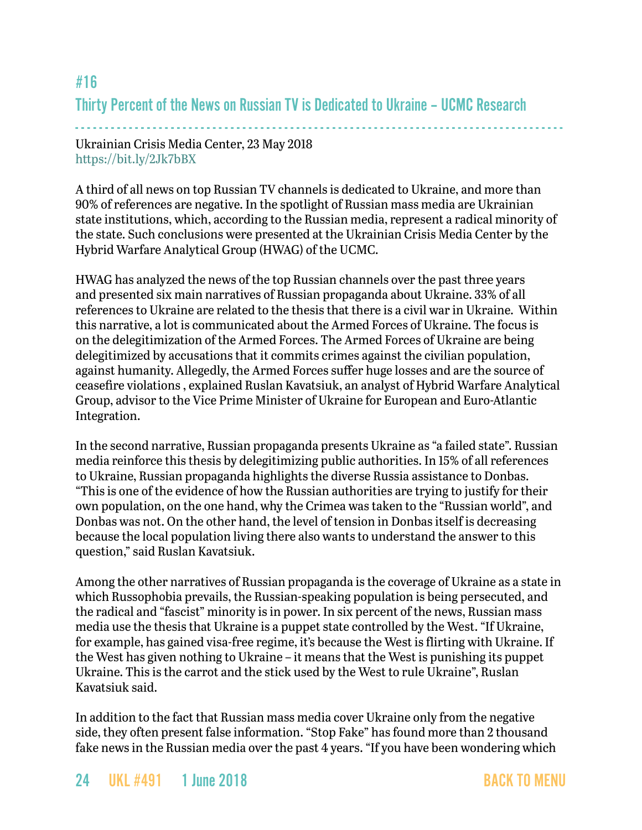# <span id="page-23-0"></span>#16 Thirty Percent of the News on Russian TV is Dedicated to Ukraine – UCMC Research

### - - - - - - - - - - - - - - - - - - - - - - - - - - - - - - - - - - - - - - - - - - - - - - - - - - - - - - - - - - - - - - - - - - - - - - - - - - - - - - - - - - Ukrainian Crisis Media Center, 23 May 2018 <https://bit.ly/2Jk7bBX>

A third of all news on top Russian TV channels is dedicated to Ukraine, and more than 90% of references are negative. In the spotlight of Russian mass media are Ukrainian state institutions, which, according to the Russian media, represent a radical minority of the state. Such conclusions were presented at the Ukrainian Crisis Media Center by the Hybrid Warfare Analytical Group (HWAG) of the UCMC.

HWAG has analyzed the news of the top Russian channels over the past three years and presented six main narratives of Russian propaganda about Ukraine. 33% of all references to Ukraine are related to the thesis that there is a civil war in Ukraine. Within this narrative, a lot is communicated about the Armed Forces of Ukraine. The focus is on the delegitimization of the Armed Forces. The Armed Forces of Ukraine are being delegitimized by accusations that it commits crimes against the civilian population, against humanity. Allegedly, the Armed Forces suffer huge losses and are the source of ceasefire violations , explained Ruslan Kavatsiuk, an analyst of Hybrid Warfare Analytical Group, advisor to the Vice Prime Minister of Ukraine for European and Euro-Atlantic Integration.

In the second narrative, Russian propaganda presents Ukraine as "a failed state". Russian media reinforce this thesis by delegitimizing public authorities. In 15% of all references to Ukraine, Russian propaganda highlights the diverse Russia assistance to Donbas. "This is one of the evidence of how the Russian authorities are trying to justify for their own population, on the one hand, why the Crimea was taken to the "Russian world", and Donbas was not. On the other hand, the level of tension in Donbas itself is decreasing because the local population living there also wants to understand the answer to this question," said Ruslan Kavatsiuk.

Among the other narratives of Russian propaganda is the coverage of Ukraine as a state in which Russophobia prevails, the Russian-speaking population is being persecuted, and the radical and "fascist" minority is in power. In six percent of the news, Russian mass media use the thesis that Ukraine is a puppet state controlled by the West. "If Ukraine, for example, has gained visa-free regime, it's because the West is flirting with Ukraine. If the West has given nothing to Ukraine – it means that the West is punishing its puppet Ukraine. This is the carrot and the stick used by the West to rule Ukraine", Ruslan Kavatsiuk said.

In addition to the fact that Russian mass media cover Ukraine only from the negative side, they often present false information. "Stop Fake" has found more than 2 thousand fake news in the Russian media over the past 4 years. "If you have been wondering which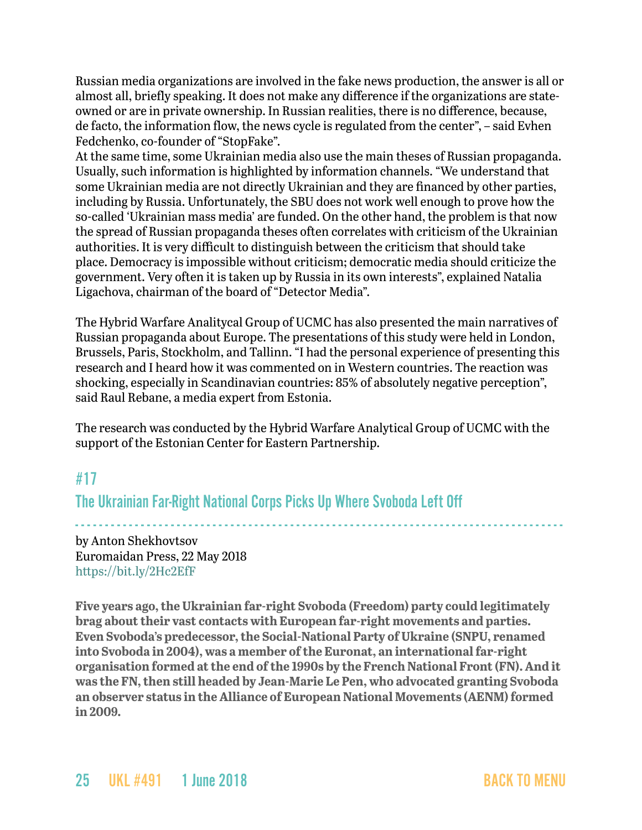Russian media organizations are involved in the fake news production, the answer is all or almost all, briefly speaking. It does not make any difference if the organizations are stateowned or are in private ownership. In Russian realities, there is no difference, because, de facto, the information flow, the news cycle is regulated from the center", – said Evhen Fedchenko, co-founder of "StopFake".

At the same time, some Ukrainian media also use the main theses of Russian propaganda. Usually, such information is highlighted by information channels. "We understand that some Ukrainian media are not directly Ukrainian and they are financed by other parties, including by Russia. Unfortunately, the SBU does not work well enough to prove how the so-called 'Ukrainian mass media' are funded. On the other hand, the problem is that now the spread of Russian propaganda theses often correlates with criticism of the Ukrainian authorities. It is very difficult to distinguish between the criticism that should take place. Democracy is impossible without criticism; democratic media should criticize the government. Very often it is taken up by Russia in its own interests", explained Natalia Ligachova, chairman of the board of "Detector Media".

The Hybrid Warfare Analitycal Group of UCMC has also presented the main narratives of Russian propaganda about Europe. The presentations of this study were held in London, Brussels, Paris, Stockholm, and Tallinn. "I had the personal experience of presenting this research and I heard how it was commented on in Western countries. The reaction was shocking, especially in Scandinavian countries: 85% of absolutely negative perception", said Raul Rebane, a media expert from Estonia.

The research was conducted by the Hybrid Warfare Analytical Group of UCMC with the support of the Estonian Center for Eastern Partnership.

# <span id="page-24-0"></span>#17

The Ukrainian Far-Right National Corps Picks Up Where Svoboda Left Off

- - - - - - - - - - - - - - - - - - - - - - - - - - - - - - - - - - - - - - - - - - - - - - - - - - - - - - - - - - - - - - - - - - - - - - - - - - - - - - - - - by Anton Shekhovtsov Euromaidan Press, 22 May 2018 <https://bit.ly/2Hc2EfF>

**Five years ago, the Ukrainian far-right Svoboda (Freedom) party could legitimately brag about their vast contacts with European far-right movements and parties. Even Svoboda's predecessor, the Social-National Party of Ukraine (SNPU, renamed into Svoboda in 2004), was a member of the Euronat, an international far-right organisation formed at the end of the 1990s by the French National Front (FN). And it was the FN, then still headed by Jean-Marie Le Pen, who advocated granting Svoboda an observer status in the Alliance of European National Movements (AENM) formed in 2009.**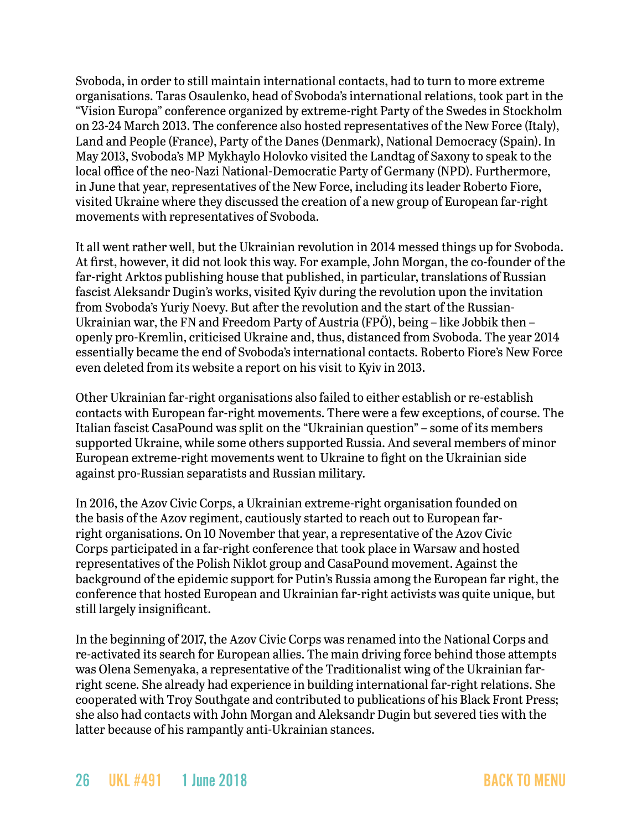Svoboda, in order to still maintain international contacts, had to turn to more extreme organisations. Taras Osaulenko, head of Svoboda's international relations, took part in the "Vision Europa" conference organized by extreme-right Party of the Swedes in Stockholm on 23-24 March 2013. The conference also hosted representatives of the New Force (Italy), Land and People (France), Party of the Danes (Denmark), National Democracy (Spain). In May 2013, Svoboda's MP Mykhaylo Holovko visited the Landtag of Saxony to speak to the local office of the neo-Nazi National-Democratic Party of Germany (NPD). Furthermore, in June that year, representatives of the New Force, including its leader Roberto Fiore, visited Ukraine where they discussed the creation of a new group of European far-right movements with representatives of Svoboda.

It all went rather well, but the Ukrainian revolution in 2014 messed things up for Svoboda. At first, however, it did not look this way. For example, John Morgan, the co-founder of the far-right Arktos publishing house that published, in particular, translations of Russian fascist Aleksandr Dugin's works, visited Kyiv during the revolution upon the invitation from Svoboda's Yuriy Noevy. But after the revolution and the start of the Russian-Ukrainian war, the FN and Freedom Party of Austria (FPÖ), being – like Jobbik then – openly pro-Kremlin, criticised Ukraine and, thus, distanced from Svoboda. The year 2014 essentially became the end of Svoboda's international contacts. Roberto Fiore's New Force even deleted from its website a report on his visit to Kyiv in 2013.

Other Ukrainian far-right organisations also failed to either establish or re-establish contacts with European far-right movements. There were a few exceptions, of course. The Italian fascist CasaPound was split on the "Ukrainian question" – some of its members supported Ukraine, while some others supported Russia. And several members of minor European extreme-right movements went to Ukraine to fight on the Ukrainian side against pro-Russian separatists and Russian military.

In 2016, the Azov Civic Corps, a Ukrainian extreme-right organisation founded on the basis of the Azov regiment, cautiously started to reach out to European farright organisations. On 10 November that year, a representative of the Azov Civic Corps participated in a far-right conference that took place in Warsaw and hosted representatives of the Polish Niklot group and CasaPound movement. Against the background of the epidemic support for Putin's Russia among the European far right, the conference that hosted European and Ukrainian far-right activists was quite unique, but still largely insignificant.

In the beginning of 2017, the Azov Civic Corps was renamed into the National Corps and re-activated its search for European allies. The main driving force behind those attempts was Olena Semenyaka, a representative of the Traditionalist wing of the Ukrainian farright scene. She already had experience in building international far-right relations. She cooperated with Troy Southgate and contributed to publications of his Black Front Press; she also had contacts with John Morgan and Aleksandr Dugin but severed ties with the latter because of his rampantly anti-Ukrainian stances.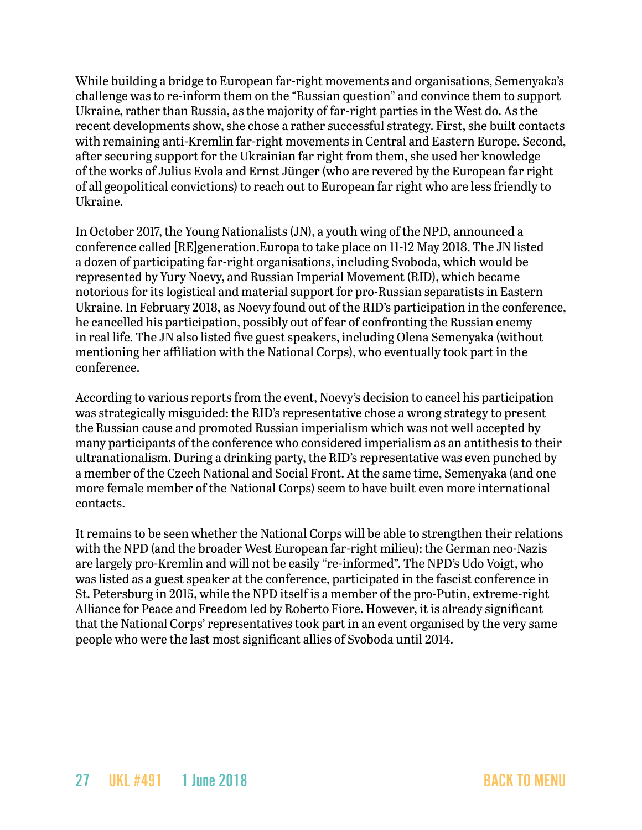While building a bridge to European far-right movements and organisations, Semenyaka's challenge was to re-inform them on the "Russian question" and convince them to support Ukraine, rather than Russia, as the majority of far-right parties in the West do. As the recent developments show, she chose a rather successful strategy. First, she built contacts with remaining anti-Kremlin far-right movements in Central and Eastern Europe. Second, after securing support for the Ukrainian far right from them, she used her knowledge of the works of Julius Evola and Ernst Jünger (who are revered by the European far right of all geopolitical convictions) to reach out to European far right who are less friendly to Ukraine.

In October 2017, the Young Nationalists (JN), a youth wing of the NPD, announced a conference called [RE]generation.Europa to take place on 11-12 May 2018. The JN listed a dozen of participating far-right organisations, including Svoboda, which would be represented by Yury Noevy, and Russian Imperial Movement (RID), which became notorious for its logistical and material support for pro-Russian separatists in Eastern Ukraine. In February 2018, as Noevy found out of the RID's participation in the conference, he cancelled his participation, possibly out of fear of confronting the Russian enemy in real life. The JN also listed five guest speakers, including Olena Semenyaka (without mentioning her affiliation with the National Corps), who eventually took part in the conference.

According to various reports from the event, Noevy's decision to cancel his participation was strategically misguided: the RID's representative chose a wrong strategy to present the Russian cause and promoted Russian imperialism which was not well accepted by many participants of the conference who considered imperialism as an antithesis to their ultranationalism. During a drinking party, the RID's representative was even punched by a member of the Czech National and Social Front. At the same time, Semenyaka (and one more female member of the National Corps) seem to have built even more international contacts.

It remains to be seen whether the National Corps will be able to strengthen their relations with the NPD (and the broader West European far-right milieu): the German neo-Nazis are largely pro-Kremlin and will not be easily "re-informed". The NPD's Udo Voigt, who was listed as a guest speaker at the conference, participated in the fascist conference in St. Petersburg in 2015, while the NPD itself is a member of the pro-Putin, extreme-right Alliance for Peace and Freedom led by Roberto Fiore. However, it is already significant that the National Corps' representatives took part in an event organised by the very same people who were the last most significant allies of Svoboda until 2014.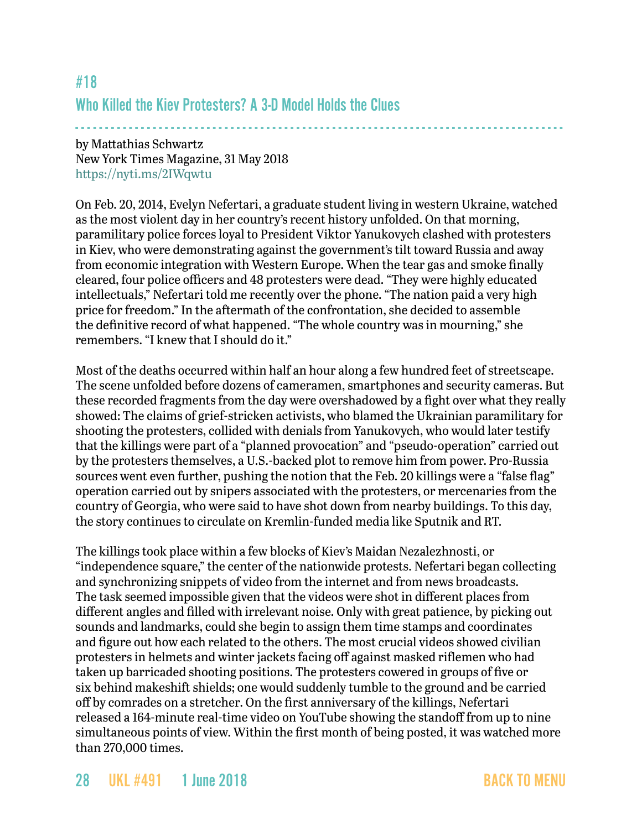# <span id="page-27-0"></span>#18 Who Killed the Kiev Protesters? A 3-D Model Holds the Clues

- - - - - - - - - - - - - - - - - - - - - - - - - - - - - - - - - - - - - - - - - - - - - - - - - - - - - - - - - - - - - - - - - - - - - - - - - - - - - - - - - by Mattathias Schwartz New York Times Magazine, 31 May 2018 <https://nyti.ms/2IWqwtu>

On Feb. 20, 2014, Evelyn Nefertari, a graduate student living in western Ukraine, watched as the most violent day in her country's recent history unfolded. On that morning, paramilitary police forces loyal to President Viktor Yanukovych clashed with protesters in Kiev, who were demonstrating against the government's tilt toward Russia and away from economic integration with Western Europe. When the tear gas and smoke finally cleared, four police officers and 48 protesters were dead. "They were highly educated intellectuals," Nefertari told me recently over the phone. "The nation paid a very high price for freedom." In the aftermath of the confrontation, she decided to assemble the definitive record of what happened. "The whole country was in mourning," she remembers. "I knew that I should do it."

Most of the deaths occurred within half an hour along a few hundred feet of streetscape. The scene unfolded before dozens of cameramen, smartphones and security cameras. But these recorded fragments from the day were overshadowed by a fight over what they really showed: The claims of grief-stricken activists, who blamed the Ukrainian paramilitary for shooting the protesters, collided with denials from Yanukovych, who would later testify that the killings were part of a "planned provocation" and "pseudo-operation" carried out by the protesters themselves, a U.S.-backed plot to remove him from power. Pro-Russia sources went even further, pushing the notion that the Feb. 20 killings were a "false flag" operation carried out by snipers associated with the protesters, or mercenaries from the country of Georgia, who were said to have shot down from nearby buildings. To this day, the story continues to circulate on Kremlin-funded media like Sputnik and RT.

The killings took place within a few blocks of Kiev's Maidan Nezalezhnosti, or "independence square," the center of the nationwide protests. Nefertari began collecting and synchronizing snippets of video from the internet and from news broadcasts. The task seemed impossible given that the videos were shot in different places from different angles and filled with irrelevant noise. Only with great patience, by picking out sounds and landmarks, could she begin to assign them time stamps and coordinates and figure out how each related to the others. The most crucial videos showed civilian protesters in helmets and winter jackets facing off against masked riflemen who had taken up barricaded shooting positions. The protesters cowered in groups of five or six behind makeshift shields; one would suddenly tumble to the ground and be carried off by comrades on a stretcher. On the first anniversary of the killings, Nefertari released a 164-minute real-time video on YouTube showing the standoff from up to nine simultaneous points of view. Within the first month of being posted, it was watched more than 270,000 times.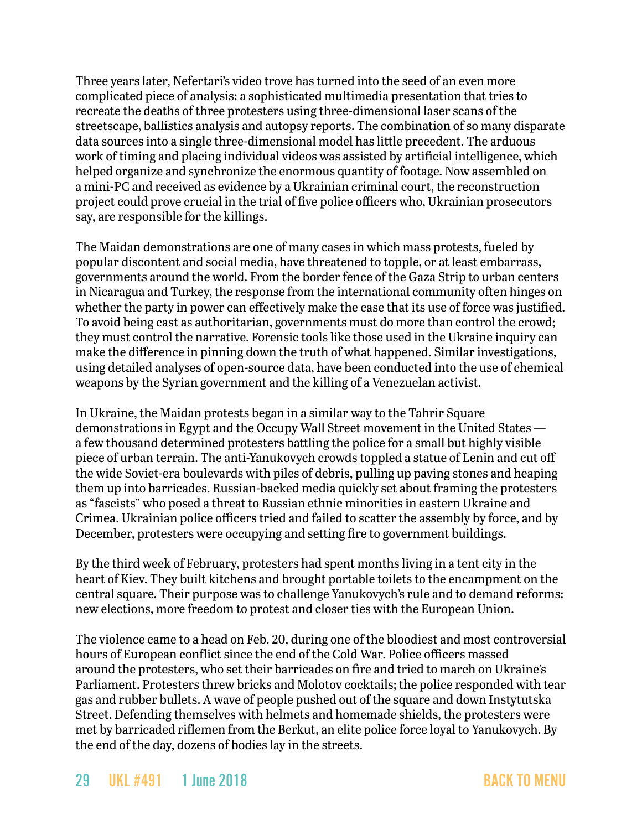Three years later, Nefertari's video trove has turned into the seed of an even more complicated piece of analysis: a sophisticated multimedia presentation that tries to recreate the deaths of three protesters using three-dimensional laser scans of the streetscape, ballistics analysis and autopsy reports. The combination of so many disparate data sources into a single three-dimensional model has little precedent. The arduous work of timing and placing individual videos was assisted by artificial intelligence, which helped organize and synchronize the enormous quantity of footage. Now assembled on a mini-PC and received as evidence by a Ukrainian criminal court, the reconstruction project could prove crucial in the trial of five police officers who, Ukrainian prosecutors say, are responsible for the killings.

The Maidan demonstrations are one of many cases in which mass protests, fueled by popular discontent and social media, have threatened to topple, or at least embarrass, governments around the world. From the border fence of the Gaza Strip to urban centers in Nicaragua and Turkey, the response from the international community often hinges on whether the party in power can effectively make the case that its use of force was justified. To avoid being cast as authoritarian, governments must do more than control the crowd; they must control the narrative. Forensic tools like those used in the Ukraine inquiry can make the difference in pinning down the truth of what happened. Similar investigations, using detailed analyses of open-source data, have been conducted into the use of chemical weapons by the Syrian government and the killing of a Venezuelan activist.

In Ukraine, the Maidan protests began in a similar way to the Tahrir Square demonstrations in Egypt and the Occupy Wall Street movement in the United States a few thousand determined protesters battling the police for a small but highly visible piece of urban terrain. The anti-Yanukovych crowds toppled a statue of Lenin and cut off the wide Soviet-era boulevards with piles of debris, pulling up paving stones and heaping them up into barricades. Russian-backed media quickly set about framing the protesters as "fascists" who posed a threat to Russian ethnic minorities in eastern Ukraine and Crimea. Ukrainian police officers tried and failed to scatter the assembly by force, and by December, protesters were occupying and setting fire to government buildings.

By the third week of February, protesters had spent months living in a tent city in the heart of Kiev. They built kitchens and brought portable toilets to the encampment on the central square. Their purpose was to challenge Yanukovych's rule and to demand reforms: new elections, more freedom to protest and closer ties with the European Union.

The violence came to a head on Feb. 20, during one of the bloodiest and most controversial hours of European conflict since the end of the Cold War. Police officers massed around the protesters, who set their barricades on fire and tried to march on Ukraine's Parliament. Protesters threw bricks and Molotov cocktails; the police responded with tear gas and rubber bullets. A wave of people pushed out of the square and down Instytutska Street. Defending themselves with helmets and homemade shields, the protesters were met by barricaded riflemen from the Berkut, an elite police force loyal to Yanukovych. By the end of the day, dozens of bodies lay in the streets.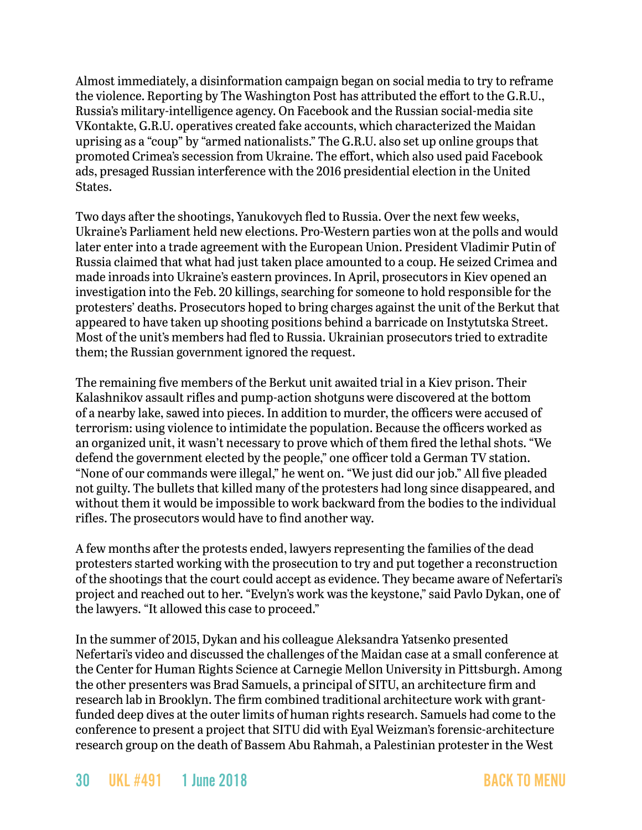Almost immediately, a disinformation campaign began on social media to try to reframe the violence. Reporting by The Washington Post has attributed the effort to the G.R.U., Russia's military-intelligence agency. On Facebook and the Russian social-media site VKontakte, G.R.U. operatives created fake accounts, which characterized the Maidan uprising as a "coup" by "armed nationalists." The G.R.U. also set up online groups that promoted Crimea's secession from Ukraine. The effort, which also used paid Facebook ads, presaged Russian interference with the 2016 presidential election in the United States.

Two days after the shootings, Yanukovych fled to Russia. Over the next few weeks, Ukraine's Parliament held new elections. Pro-Western parties won at the polls and would later enter into a trade agreement with the European Union. President Vladimir Putin of Russia claimed that what had just taken place amounted to a coup. He seized Crimea and made inroads into Ukraine's eastern provinces. In April, prosecutors in Kiev opened an investigation into the Feb. 20 killings, searching for someone to hold responsible for the protesters' deaths. Prosecutors hoped to bring charges against the unit of the Berkut that appeared to have taken up shooting positions behind a barricade on Instytutska Street. Most of the unit's members had fled to Russia. Ukrainian prosecutors tried to extradite them; the Russian government ignored the request.

The remaining five members of the Berkut unit awaited trial in a Kiev prison. Their Kalashnikov assault rifles and pump-action shotguns were discovered at the bottom of a nearby lake, sawed into pieces. In addition to murder, the officers were accused of terrorism: using violence to intimidate the population. Because the officers worked as an organized unit, it wasn't necessary to prove which of them fired the lethal shots. "We defend the government elected by the people," one officer told a German TV station. "None of our commands were illegal," he went on. "We just did our job." All five pleaded not guilty. The bullets that killed many of the protesters had long since disappeared, and without them it would be impossible to work backward from the bodies to the individual rifles. The prosecutors would have to find another way.

A few months after the protests ended, lawyers representing the families of the dead protesters started working with the prosecution to try and put together a reconstruction of the shootings that the court could accept as evidence. They became aware of Nefertari's project and reached out to her. "Evelyn's work was the keystone," said Pavlo Dykan, one of the lawyers. "It allowed this case to proceed."

In the summer of 2015, Dykan and his colleague Aleksandra Yatsenko presented Nefertari's video and discussed the challenges of the Maidan case at a small conference at the Center for Human Rights Science at Carnegie Mellon University in Pittsburgh. Among the other presenters was Brad Samuels, a principal of SITU, an architecture firm and research lab in Brooklyn. The firm combined traditional architecture work with grantfunded deep dives at the outer limits of human rights research. Samuels had come to the conference to present a project that SITU did with Eyal Weizman's forensic-architecture research group on the death of Bassem Abu Rahmah, a Palestinian protester in the West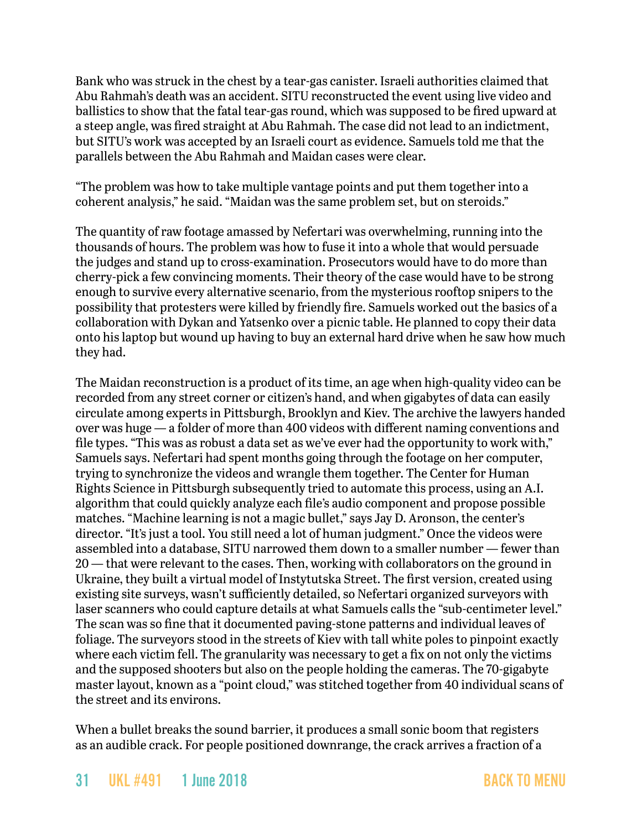Bank who was struck in the chest by a tear-gas canister. Israeli authorities claimed that Abu Rahmah's death was an accident. SITU reconstructed the event using live video and ballistics to show that the fatal tear-gas round, which was supposed to be fired upward at a steep angle, was fired straight at Abu Rahmah. The case did not lead to an indictment, but SITU's work was accepted by an Israeli court as evidence. Samuels told me that the parallels between the Abu Rahmah and Maidan cases were clear.

"The problem was how to take multiple vantage points and put them together into a coherent analysis," he said. "Maidan was the same problem set, but on steroids."

The quantity of raw footage amassed by Nefertari was overwhelming, running into the thousands of hours. The problem was how to fuse it into a whole that would persuade the judges and stand up to cross-examination. Prosecutors would have to do more than cherry-pick a few convincing moments. Their theory of the case would have to be strong enough to survive every alternative scenario, from the mysterious rooftop snipers to the possibility that protesters were killed by friendly fire. Samuels worked out the basics of a collaboration with Dykan and Yatsenko over a picnic table. He planned to copy their data onto his laptop but wound up having to buy an external hard drive when he saw how much they had.

The Maidan reconstruction is a product of its time, an age when high-quality video can be recorded from any street corner or citizen's hand, and when gigabytes of data can easily circulate among experts in Pittsburgh, Brooklyn and Kiev. The archive the lawyers handed over was huge — a folder of more than 400 videos with different naming conventions and file types. "This was as robust a data set as we've ever had the opportunity to work with," Samuels says. Nefertari had spent months going through the footage on her computer, trying to synchronize the videos and wrangle them together. The Center for Human Rights Science in Pittsburgh subsequently tried to automate this process, using an A.I. algorithm that could quickly analyze each file's audio component and propose possible matches. "Machine learning is not a magic bullet," says Jay D. Aronson, the center's director. "It's just a tool. You still need a lot of human judgment." Once the videos were assembled into a database, SITU narrowed them down to a smaller number — fewer than 20 — that were relevant to the cases. Then, working with collaborators on the ground in Ukraine, they built a virtual model of Instytutska Street. The first version, created using existing site surveys, wasn't sufficiently detailed, so Nefertari organized surveyors with laser scanners who could capture details at what Samuels calls the "sub-centimeter level." The scan was so fine that it documented paving-stone patterns and individual leaves of foliage. The surveyors stood in the streets of Kiev with tall white poles to pinpoint exactly where each victim fell. The granularity was necessary to get a fix on not only the victims and the supposed shooters but also on the people holding the cameras. The 70-gigabyte master layout, known as a "point cloud," was stitched together from 40 individual scans of the street and its environs.

When a bullet breaks the sound barrier, it produces a small sonic boom that registers as an audible crack. For people positioned downrange, the crack arrives a fraction of a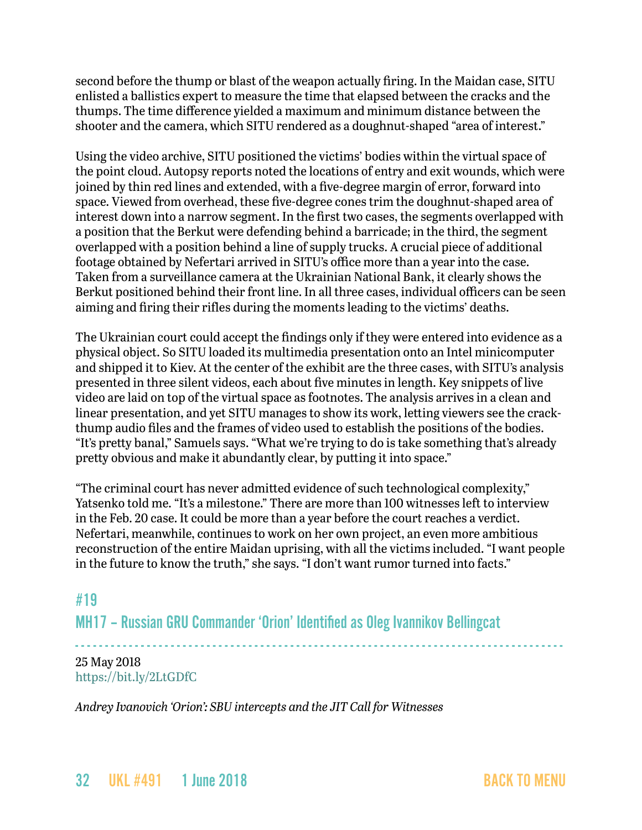second before the thump or blast of the weapon actually firing. In the Maidan case, SITU enlisted a ballistics expert to measure the time that elapsed between the cracks and the thumps. The time difference yielded a maximum and minimum distance between the shooter and the camera, which SITU rendered as a doughnut-shaped "area of interest."

Using the video archive, SITU positioned the victims' bodies within the virtual space of the point cloud. Autopsy reports noted the locations of entry and exit wounds, which were joined by thin red lines and extended, with a five-degree margin of error, forward into space. Viewed from overhead, these five-degree cones trim the doughnut-shaped area of interest down into a narrow segment. In the first two cases, the segments overlapped with a position that the Berkut were defending behind a barricade; in the third, the segment overlapped with a position behind a line of supply trucks. A crucial piece of additional footage obtained by Nefertari arrived in SITU's office more than a year into the case. Taken from a surveillance camera at the Ukrainian National Bank, it clearly shows the Berkut positioned behind their front line. In all three cases, individual officers can be seen aiming and firing their rifles during the moments leading to the victims' deaths.

The Ukrainian court could accept the findings only if they were entered into evidence as a physical object. So SITU loaded its [multimedia presentation](http://maidan.situplatform.com/) onto an Intel minicomputer and shipped it to Kiev. At the center of the exhibit are the three cases, with SITU's analysis presented in three silent videos, each about five minutes in length. Key snippets of live video are laid on top of the virtual space as footnotes. The analysis arrives in a clean and linear presentation, and yet SITU manages to show its work, letting viewers see the crackthump audio files and the frames of video used to establish the positions of the bodies. "It's pretty banal," Samuels says. "What we're trying to do is take something that's already pretty obvious and make it abundantly clear, by putting it into space."

"The criminal court has never admitted evidence of such technological complexity," Yatsenko told me. "It's a milestone." There are more than 100 witnesses left to interview in the Feb. 20 case. It could be more than a year before the court reaches a verdict. Nefertari, meanwhile, continues to work on her own project, an even more ambitious reconstruction of the entire Maidan uprising, with all the victims included. "I want people in the future to know the truth," she says. "I don't want rumor turned into facts."

# #19 MH17 – Russian GRU Commander 'Orion' Identified as Oleg Ivannikov Bellingcat

### - - - - - - - - - - - - - - - - - - - - - - - - - - - - - - - - - - - - - - - - - - - - - - - - - - - - - - - - - - - - - - - - - - - - - - - - - - - - - - - - - - 25 May 2018 <https://bit.ly/2LtGDfC>

*Andrey Ivanovich 'Orion': SBU intercepts and the JIT Call for Witnesses*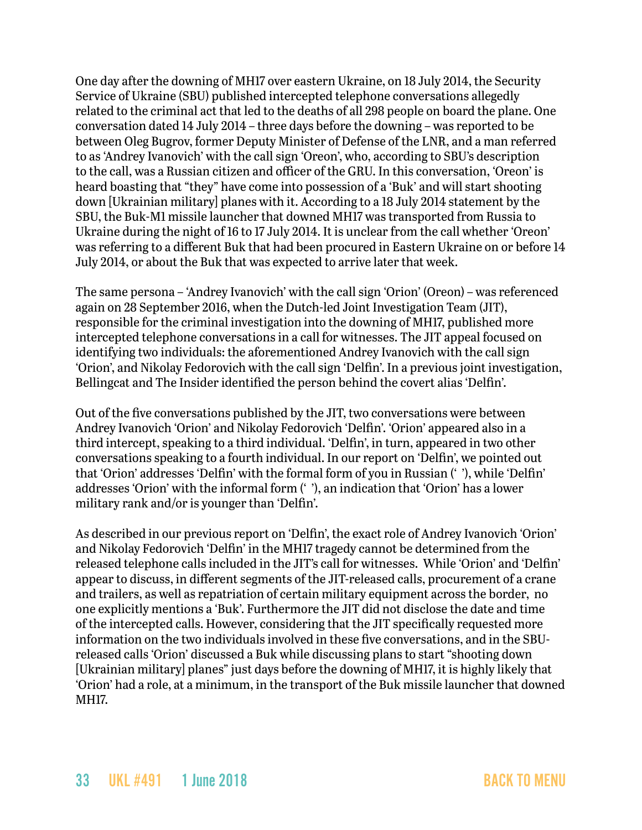One day after the downing of MH17 over eastern Ukraine, on 18 July 2014, the Security Service of Ukraine (SBU) published intercepted telephone conversations allegedly related to the criminal act that led to the deaths of all 298 people on board the plane. One conversation dated 14 July 2014 – three days before the downing – was reported to be between Oleg Bugrov, former Deputy Minister of Defense of the LNR, and a man referred to as 'Andrey Ivanovich' with the call sign 'Oreon', who, according to SBU's description to the call, was a Russian citizen and officer of the GRU. In this conversation, 'Oreon' is heard boasting that "they" have come into possession of a 'Buk' and will start shooting down [Ukrainian military] planes with it. According to a 18 July 2014 statement by the SBU, the Buk-M1 missile launcher that downed MH17 was transported from Russia to Ukraine during the night of 16 to 17 July 2014. It is unclear from the call whether 'Oreon' was referring to a different Buk that had been procured in Eastern Ukraine on or before 14 July 2014, or about the Buk that was expected to arrive later that week.

The same persona – 'Andrey Ivanovich' with the call sign 'Orion' (Oreon) – was referenced again on 28 September 2016, when the Dutch-led Joint Investigation Team (JIT), responsible for the criminal investigation into the downing of MH17, published more intercepted telephone conversations in a call for witnesses. The JIT appeal focused on identifying two individuals: the aforementioned Andrey Ivanovich with the call sign 'Orion', and Nikolay Fedorovich with the call sign 'Delfin'. In a previous joint investigation, Bellingcat and The Insider identified the person behind the covert alias 'Delfin'.

Out of the five conversations published by the JIT, two conversations were between Andrey Ivanovich 'Orion' and Nikolay Fedorovich 'Delfin'. 'Orion' appeared also in a third intercept, speaking to a third individual. 'Delfin', in turn, appeared in two other conversations speaking to a fourth individual. In our report on 'Delfin', we pointed out that 'Orion' addresses 'Delfin' with the formal form of you in Russian (''), while 'Delfin' addresses 'Orion' with the informal form ('), an indication that 'Orion' has a lower military rank and/or is younger than 'Delfin'.

As described in our previous report on 'Delfin', the exact role of Andrey Ivanovich 'Orion' and Nikolay Fedorovich 'Delfin' in the MH17 tragedy cannot be determined from the released telephone calls included in the JIT's call for witnesses. While 'Orion' and 'Delfin' appear to discuss, in different segments of the JIT-released calls, procurement of a crane and trailers, as well as repatriation of certain military equipment across the border, no one explicitly mentions a 'Buk'. Furthermore the JIT did not disclose the date and time of the intercepted calls. However, considering that the JIT specifically requested more information on the two individuals involved in these five conversations, and in the SBUreleased calls 'Orion' discussed a Buk while discussing plans to start "shooting down [Ukrainian military] planes" just days before the downing of MH17, it is highly likely that 'Orion' had a role, at a minimum, in the transport of the Buk missile launcher that downed MH17.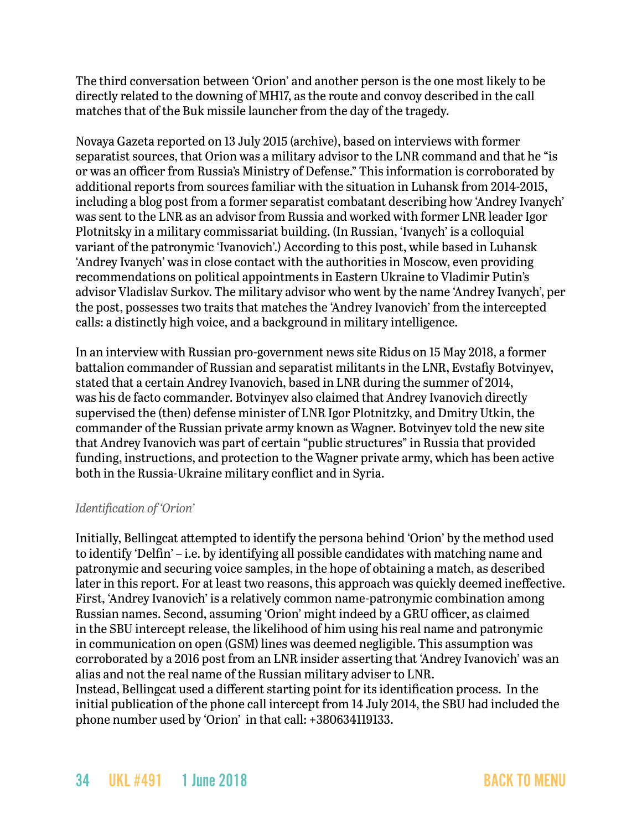The third conversation between 'Orion' and another person is the one most likely to be directly related to the downing of MH17, as the route and convoy described in the call matches that of the Buk missile launcher from the day of the tragedy.

Novaya Gazeta reported on 13 July 2015 (archive), based on interviews with former separatist sources, that Orion was a military advisor to the LNR command and that he "is or was an officer from Russia's Ministry of Defense." This information is corroborated by additional reports from sources familiar with the situation in Luhansk from 2014-2015, including a blog post from a former separatist combatant describing how 'Andrey Ivanych' was sent to the LNR as an advisor from Russia and worked with former LNR leader Igor Plotnitsky in a military commissariat building. (In Russian, 'Ivanych' is a colloquial variant of the patronymic 'Ivanovich'.) According to this post, while based in Luhansk 'Andrey Ivanych' was in close contact with the authorities in Moscow, even providing recommendations on political appointments in Eastern Ukraine to Vladimir Putin's advisor Vladislav Surkov. The military advisor who went by the name 'Andrey Ivanych', per the post, possesses two traits that matches the 'Andrey Ivanovich' from the intercepted calls: a distinctly high voice, and a background in military intelligence.

In an interview with Russian pro-government news site Ridus on [15 May 2018,](https://www.ridus.ru/news/273191?utm_campaign=ridus&utm_medium=referral&utm_source=push) a former battalion commander of Russian and separatist militants in the LNR, Evstafiy Botvinyev, stated that a certain Andrey Ivanovich, based in LNR during the summer of 2014, was his de facto commander. Botvinyev also claimed that Andrey Ivanovich directly supervised the (then) defense minister of LNR Igor Plotnitzky, and Dmitry Utkin, the commander of the Russian private army known as Wagner. Botvinyev told the new site that Andrey Ivanovich was part of certain "public structures" in Russia that provided funding, instructions, and protection to the Wagner private army, which has been active both in the Russia-Ukraine military conflict and in Syria.

#### *Identification of 'Orion'*

Initially, Bellingcat attempted to identify the persona behind 'Orion' by the method used to identify 'Delfin' – i.e. by identifying all possible candidates with matching name and patronymic and securing voice samples, in the hope of obtaining a match, as described later in this report. For at least two reasons, this approach was quickly deemed ineffective. First, 'Andrey Ivanovich' is a relatively common name-patronymic combination among Russian names. Second, assuming 'Orion' might indeed by a GRU officer, as claimed in the SBU intercept release, the likelihood of him using his real name and patronymic in communication on open (GSM) lines was deemed negligible. This assumption was corroborated by a 2016 post from an LNR insider asserting that 'Andrey Ivanovich' was an alias and not the real name of the Russian military adviser to LNR. Instead, Bellingcat used a different starting point for its identification process. In the initial publication of the phone call intercept from 14 July 2014, the SBU had included the phone number used by 'Orion' in that call: +380634119133.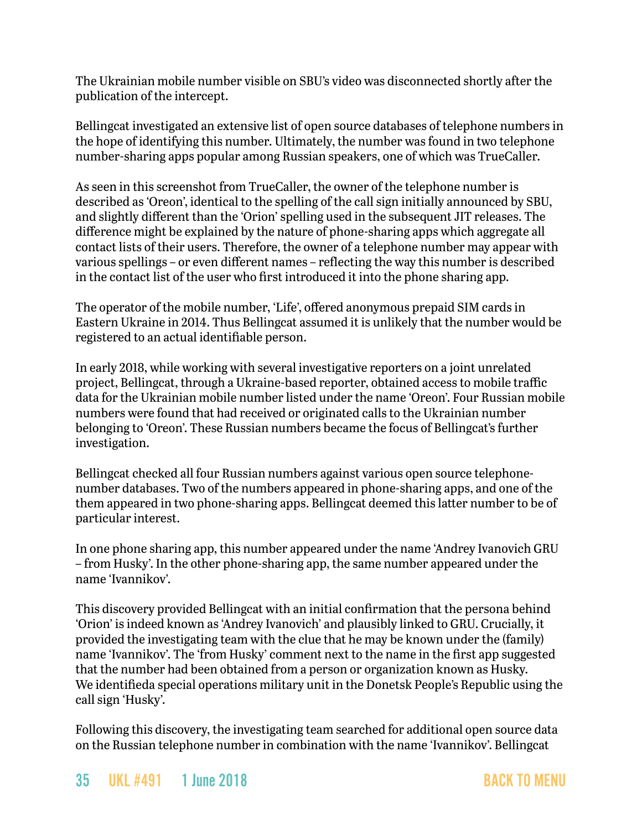The Ukrainian mobile number visible on SBU's video was disconnected shortly after the publication of the intercept.

Bellingcat investigated an extensive list of open source databases of telephone numbers in the hope of identifying this number. Ultimately, the number was found in two telephone number-sharing apps popular among Russian speakers, one of which was TrueCaller.

As seen in this screenshot from TrueCaller, the owner of the telephone number is described as 'Oreon', identical to the spelling of the call sign initially announced by SBU, and slightly different than the 'Orion' spelling used in the subsequent JIT releases. The difference might be explained by the nature of phone-sharing apps which aggregate all contact lists of their users. Therefore, the owner of a telephone number may appear with various spellings – or even different names – reflecting the way this number is described in the contact list of the user who first introduced it into the phone sharing app.

The operator of the mobile number, 'Life', offered anonymous prepaid SIM cards in Eastern Ukraine in 2014. Thus Bellingcat assumed it is unlikely that the number would be registered to an actual identifiable person.

In early 2018, while working with several investigative reporters on a joint unrelated project, Bellingcat, through a Ukraine-based reporter, obtained access to mobile traffic data for the Ukrainian mobile number listed under the name 'Oreon'. Four Russian mobile numbers were found that had received or originated calls to the Ukrainian number belonging to 'Oreon'. These Russian numbers became the focus of Bellingcat's further investigation.

Bellingcat checked all four Russian numbers against various open source telephonenumber databases. Two of the numbers appeared in phone-sharing apps, and one of the them appeared in two phone-sharing apps. Bellingcat deemed this latter number to be of particular interest.

In one phone sharing app, this number appeared under the name 'Andrey Ivanovich GRU – from Husky'. In the other phone-sharing app, the same number appeared under the name 'Ivannikov'.

This discovery provided Bellingcat with an initial confirmation that the persona behind 'Orion' is indeed known as 'Andrey Ivanovich' and plausibly linked to GRU. Crucially, it provided the investigating team with the clue that he may be known under the (family) name 'Ivannikov'. The 'from Husky' comment next to the name in the first app suggested that the number had been obtained from a person or organization known as Husky. We identifieda special operations military unit in the Donetsk People's Republic using the call sign 'Husky'.

Following this discovery, the investigating team searched for additional open source data on the Russian telephone number in combination with the name 'Ivannikov'. Bellingcat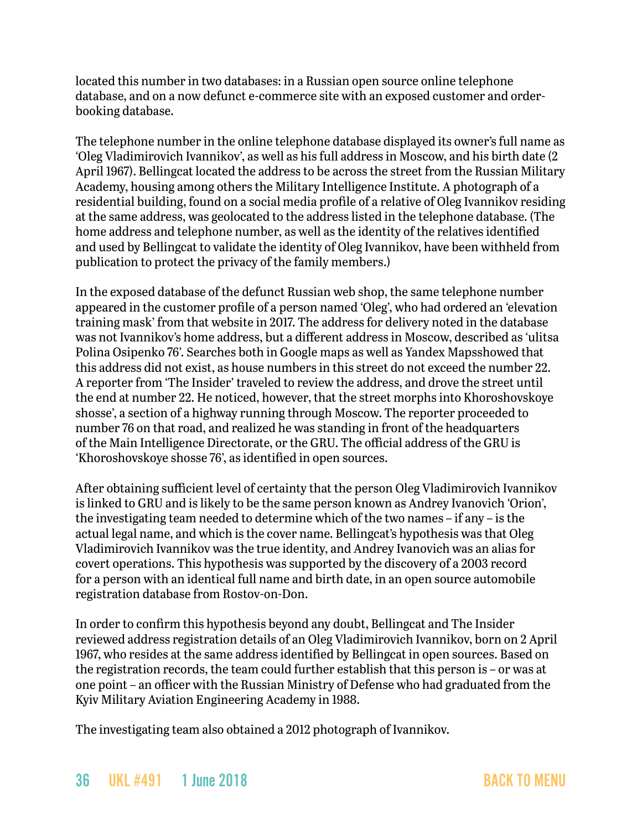located this number in two databases: in a Russian open source online telephone database, and on a now defunct e-commerce site with an exposed customer and orderbooking database.

The telephone number in the online telephone database displayed its owner's full name as 'Oleg Vladimirovich Ivannikov', as well as his full address in Moscow, and his birth date (2 April 1967). Bellingcat located the address to be across the street from the Russian Military Academy, housing among others the Military Intelligence Institute. A photograph of a residential building, found on a social media profile of a relative of Oleg Ivannikov residing at the same address, was geolocated to the address listed in the telephone database. (The home address and telephone number, as well as the identity of the relatives identified and used by Bellingcat to validate the identity of Oleg Ivannikov, have been withheld from publication to protect the privacy of the family members.)

In the exposed database of the defunct Russian web shop, the same telephone number appeared in the customer profile of a person named 'Oleg', who had ordered an 'elevation training mask' from that website in 2017. The address for delivery noted in the database was not Ivannikov's home address, but a different address in Moscow, described as 'ulitsa Polina Osipenko 76'. Searches both in Google maps as well as Yandex Mapsshowed that this address did not exist, as house numbers in this street do not exceed the number 22. A reporter from 'The Insider' traveled to review the address, and drove the street until the end at number 22. He noticed, however, that the street morphs into Khoroshovskoye shosse', a section of a highway running through Moscow. The reporter proceeded to number 76 on that road, and realized he was standing in front of the headquarters of the Main Intelligence Directorate, or the GRU. The official address of the GRU is 'Khoroshovskoye shosse 76', as identified in open sources.

After obtaining sufficient level of certainty that the person Oleg Vladimirovich Ivannikov is linked to GRU and is likely to be the same person known as Andrey Ivanovich 'Orion', the investigating team needed to determine which of the two names – if any – is the actual legal name, and which is the cover name. Bellingcat's hypothesis was that Oleg Vladimirovich Ivannikov was the true identity, and Andrey Ivanovich was an alias for covert operations. This hypothesis was supported by the discovery of a 2003 record for a person with an identical full name and birth date, in an open source automobile registration database from Rostov-on-Don.

In order to confirm this hypothesis beyond any doubt, Bellingcat and The Insider reviewed address registration details of an Oleg Vladimirovich Ivannikov, born on 2 April 1967, who resides at the same address identified by Bellingcat in open sources. Based on the registration records, the team could further establish that this person is – or was at one point – an officer with the Russian Ministry of Defense who had graduated from the Kyiv Military Aviation Engineering Academy in 1988.

The investigating team also obtained a 2012 photograph of Ivannikov.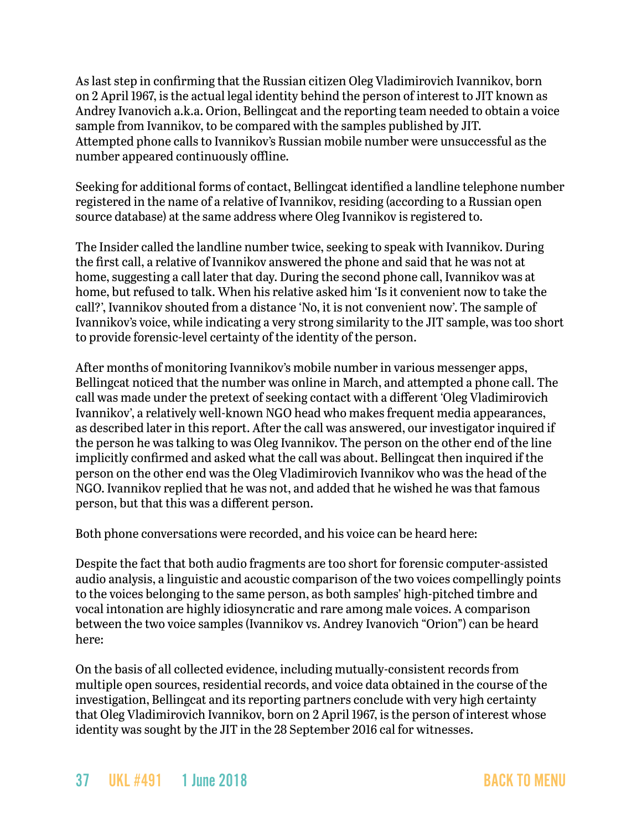As last step in confirming that the Russian citizen Oleg Vladimirovich Ivannikov, born on 2 April 1967, is the actual legal identity behind the person of interest to JIT known as Andrey Ivanovich a.k.a. Orion, Bellingcat and the reporting team needed to obtain a voice sample from Ivannikov, to be compared with the samples published by JIT. Attempted phone calls to Ivannikov's Russian mobile number were unsuccessful as the number appeared continuously offline.

Seeking for additional forms of contact, Bellingcat identified a landline telephone number registered in the name of a relative of Ivannikov, residing (according to a Russian open source database) at the same address where Oleg Ivannikov is registered to.

The Insider called the landline number twice, seeking to speak with Ivannikov. During the first call, a relative of Ivannikov answered the phone and said that he was not at home, suggesting a call later that day. During the second phone call, Ivannikov was at home, but refused to talk. When his relative asked him 'Is it convenient now to take the call?', Ivannikov shouted from a distance 'No, it is not convenient now'. The sample of Ivannikov's voice, while indicating a very strong similarity to the JIT sample, was too short to provide forensic-level certainty of the identity of the person.

After months of monitoring Ivannikov's mobile number in various messenger apps, Bellingcat noticed that the number was online in March, and attempted a phone call. The call was made under the pretext of seeking contact with a different 'Oleg Vladimirovich Ivannikov', a relatively well-known NGO head who makes frequent media appearances, as described later in this report. After the call was answered, our investigator inquired if the person he was talking to was Oleg Ivannikov. The person on the other end of the line implicitly confirmed and asked what the call was about. Bellingcat then inquired if the person on the other end was the Oleg Vladimirovich Ivannikov who was the head of the NGO. Ivannikov replied that he was not, and added that he wished he was that famous person, but that this was a different person.

Both phone conversations were recorded, and his voice can be heard here:

Despite the fact that both audio fragments are too short for forensic computer-assisted audio analysis, a linguistic and acoustic comparison of the two voices compellingly points to the voices belonging to the same person, as both samples' high-pitched timbre and vocal intonation are highly idiosyncratic and rare among male voices. A comparison between the two voice samples (Ivannikov vs. Andrey Ivanovich "Orion") can be heard here:

On the basis of all collected evidence, including mutually-consistent records from multiple open sources, residential records, and voice data obtained in the course of the investigation, Bellingcat and its reporting partners conclude with very high certainty that Oleg Vladimirovich Ivannikov, born on 2 April 1967, is the person of interest whose identity was sought by the JIT in the 28 September 2016 cal for witnesses.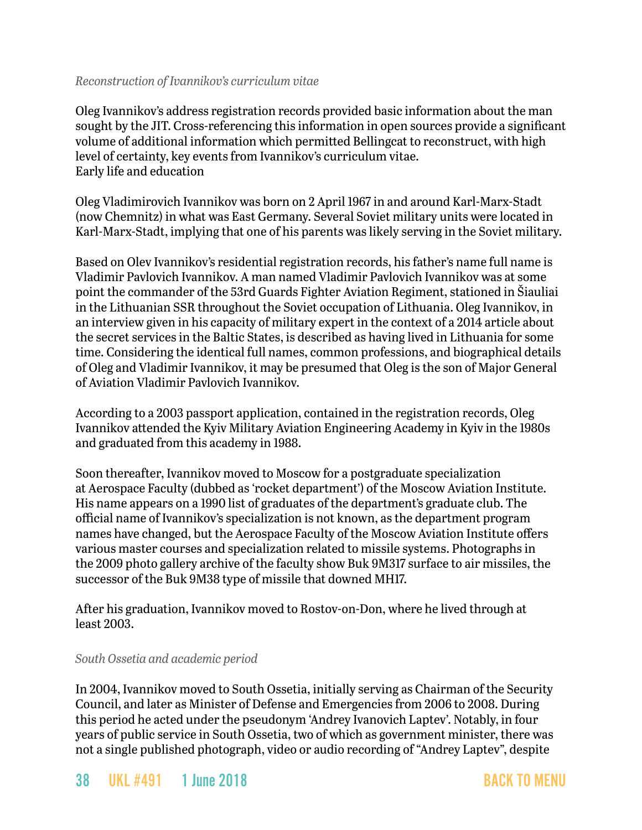#### *Reconstruction of Ivannikov's curriculum vitae*

Oleg Ivannikov's address registration records provided basic information about the man sought by the JIT. Cross-referencing this information in open sources provide a significant volume of additional information which permitted Bellingcat to reconstruct, with high level of certainty, key events from Ivannikov's curriculum vitae. Early life and education

Oleg Vladimirovich Ivannikov was born on 2 April 1967 in and around Karl-Marx-Stadt (now Chemnitz) in what was East Germany. Several Soviet military units were located in Karl-Marx-Stadt, implying that one of his parents was likely serving in the Soviet military.

Based on Olev Ivannikov's residential registration records, his father's name full name is Vladimir Pavlovich Ivannikov. A man named Vladimir Pavlovich Ivannikov was at some point the commander of the 53rd Guards Fighter Aviation Regiment, stationed in Šiauliai in the Lithuanian SSR throughout the Soviet occupation of Lithuania. Oleg Ivannikov, in an interview given in his capacity of military expert in the context of a 2014 article about the secret services in the Baltic States, is described as having lived in Lithuania for some time. Considering the identical full names, common professions, and biographical details of Oleg and Vladimir Ivannikov, it may be presumed that Oleg is the son of Major General of Aviation Vladimir Pavlovich Ivannikov.

According to a 2003 passport application, contained in the registration records, Oleg Ivannikov attended the Kyiv Military Aviation Engineering Academy in Kyiv in the 1980s and graduated from this academy in 1988.

Soon thereafter, Ivannikov moved to Moscow for a postgraduate specialization at Aerospace Faculty (dubbed as 'rocket department') of the Moscow Aviation Institute. His name appears on a 1990 list of graduates of the department's graduate club. The official name of Ivannikov's specialization is not known, as the department program names have changed, but the Aerospace Faculty of the Moscow Aviation Institute offers various master courses and specialization related to missile systems. Photographs in the 2009 photo gallery archive of the faculty show Buk 9M317 surface to air missiles, the successor of the Buk 9M38 type of missile that downed MH17.

After his graduation, Ivannikov moved to Rostov-on-Don, where he lived through at least 2003.

#### *South Ossetia and academic period*

In 2004, Ivannikov moved to South Ossetia, initially serving as Chairman of the Security Council, and later as Minister of Defense and Emergencies from 2006 to 2008. During this period he acted under the pseudonym 'Andrey Ivanovich Laptev'. Notably, in four years of public service in South Ossetia, two of which as government minister, there was not a single published photograph, video or audio recording of "Andrey Laptev", despite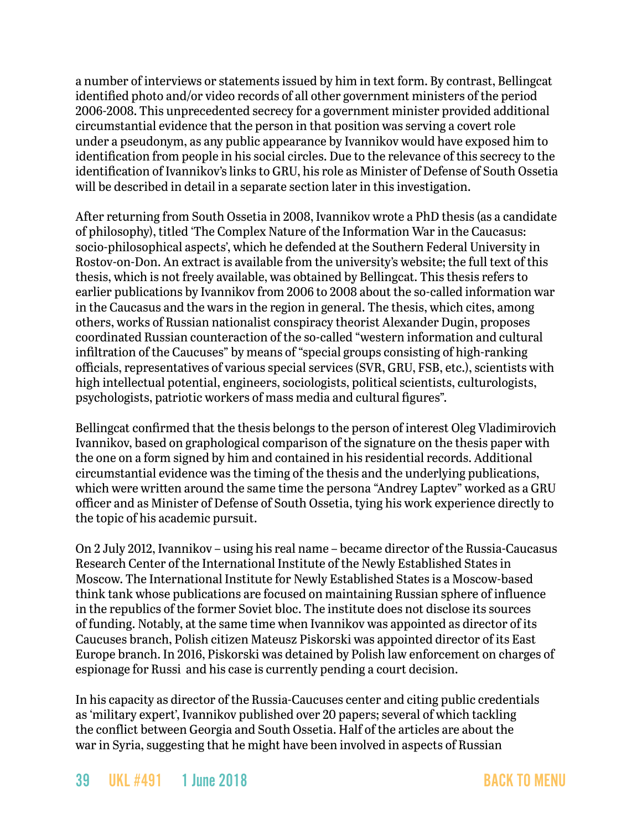a number of interviews or statements issued by him in text form. By contrast, Bellingcat identified photo and/or video records of all other government ministers of the period 2006-2008. This unprecedented secrecy for a government minister provided additional circumstantial evidence that the person in that position was serving a covert role under a pseudonym, as any public appearance by Ivannikov would have exposed him to identification from people in his social circles. Due to the relevance of this secrecy to the identification of Ivannikov's links to GRU, his role as Minister of Defense of South Ossetia will be described in detail in a separate section later in this investigation.

After returning from South Ossetia in 2008, Ivannikov wrote a PhD thesis (as a candidate of philosophy), titled 'The Complex Nature of the Information War in the Caucasus: socio-philosophical aspects', which he defended at the Southern Federal University in Rostov-on-Don. An extract is available from the university's website; the full text of this thesis, which is not freely available, was obtained by Bellingcat. This thesis refers to earlier publications by Ivannikov from 2006 to 2008 about the so-called information war in the Caucasus and the wars in the region in general. The thesis, which cites, among others, works of Russian nationalist conspiracy theorist Alexander Dugin, proposes coordinated Russian counteraction of the so-called "western information and cultural infiltration of the Caucuses" by means of "special groups consisting of high-ranking officials, representatives of various special services (SVR, GRU, FSB, etc.), scientists with high intellectual potential, engineers, sociologists, political scientists, culturologists, psychologists, patriotic workers of mass media and cultural figures".

Bellingcat confirmed that the thesis belongs to the person of interest Oleg Vladimirovich Ivannikov, based on graphological comparison of the signature on the thesis paper with the one on a form signed by him and contained in his residential records. Additional circumstantial evidence was the timing of the thesis and the underlying publications, which were written around the same time the persona "Andrey Laptev" worked as a GRU officer and as Minister of Defense of South Ossetia, tying his work experience directly to the topic of his academic pursuit.

On 2 July 2012, Ivannikov – using his real name – became director of the Russia-Caucasus Research Center of the International Institute of the Newly Established States in Moscow. The International Institute for Newly Established States is a Moscow-based think tank whose publications are focused on maintaining Russian sphere of influence in the republics of the former Soviet bloc. The institute does not disclose its sources of funding. Notably, at the same time when Ivannikov was appointed as director of its Caucuses branch, Polish citizen Mateusz Piskorski was appointed director of its East Europe branch. In 2016, Piskorski was detained by Polish law enforcement on charges of espionage for Russi and his case is currently pending a court decision.

In his capacity as director of the Russia-Caucuses center and citing public credentials as 'military expert', Ivannikov published over 20 papers; several of which tackling the conflict between Georgia and South Ossetia. Half of the articles are about the war in Syria, suggesting that he might have been involved in aspects of Russian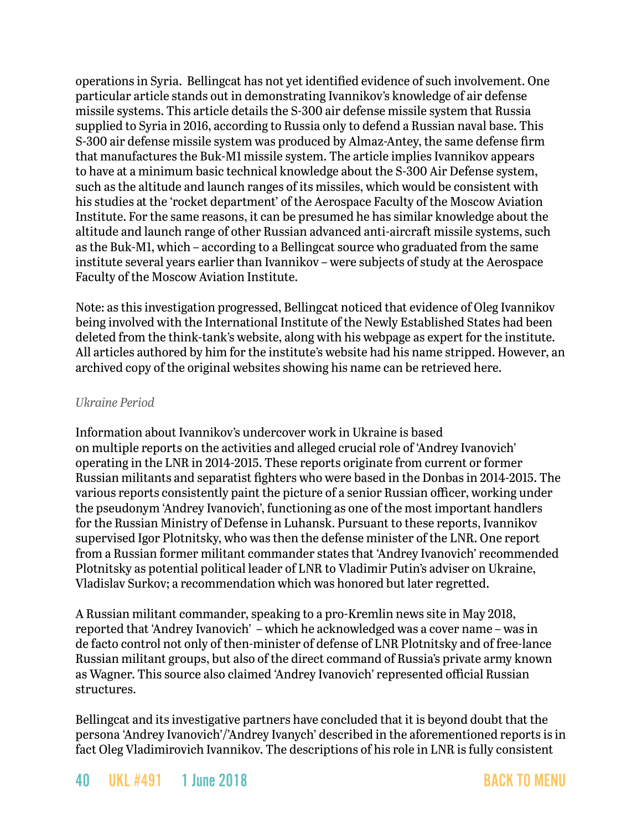operations in Syria. Bellingcat has not yet identified evidence of such involvement. One particular article stands out in demonstrating Ivannikov's knowledge of air defense missile systems. This article details the S-300 air defense missile system that Russia supplied to Syria in 2016, according to Russia only to defend a Russian naval base. This S-300 air defense missile system was produced by Almaz-Antey, the same defense firm that manufactures the Buk-M1 missile system. The article implies Ivannikov appears to have at a minimum basic technical knowledge about the S-300 Air Defense system, such as the altitude and launch ranges of its missiles, which would be consistent with his studies at the 'rocket department' of the Aerospace Faculty of the Moscow Aviation Institute. For the same reasons, it can be presumed he has similar knowledge about the altitude and launch range of other Russian advanced anti-aircraft missile systems, such as the Buk-M1, which – according to a Bellingcat source who graduated from the same institute several years earlier than Ivannikov – were subjects of study at the Aerospace Faculty of the Moscow Aviation Institute.

Note: as this investigation progressed, Bellingcat noticed that evidence of Oleg Ivannikov being involved with the International Institute of the Newly Established States had been deleted from the think-tank's website, along with his webpage as expert for the institute. All articles authored by him for the institute's website had his name stripped. However, an archived copy of the original websites showing his name can be retrieved here.

#### *Ukraine Period*

Information about Ivannikov's undercover work in Ukraine is based on multiple reports on the activities and alleged crucial role of 'Andrey Ivanovich' operating in the LNR in 2014-2015. These reports originate from current or former Russian militants and separatist fighters who were based in the Donbas in 2014-2015. The various reports consistently paint the picture of a senior Russian officer, working under the pseudonym 'Andrey Ivanovich', functioning as one of the most important handlers for the Russian Ministry of Defense in Luhansk. Pursuant to these reports, Ivannikov supervised Igor Plotnitsky, who was then the defense minister of the LNR. One report from a Russian former militant commander states that 'Andrey Ivanovich' recommended Plotnitsky as potential political leader of LNR to Vladimir Putin's adviser on Ukraine, Vladislav Surkov; a recommendation which was honored but later regretted.

A Russian militant commander, speaking to a pro-Kremlin news site in May 2018, reported that 'Andrey Ivanovich' – which he acknowledged was a cover name – was in de facto control not only of then-minister of defense of LNR Plotnitsky and of free-lance Russian militant groups, but also of the direct command of Russia's private army known as Wagner. This source also claimed 'Andrey Ivanovich' represented official Russian structures.

Bellingcat and its investigative partners have concluded that it is beyond doubt that the persona 'Andrey Ivanovich'/'Andrey Ivanych' described in the aforementioned reports is in fact Oleg Vladimirovich Ivannikov. The descriptions of his role in LNR is fully consistent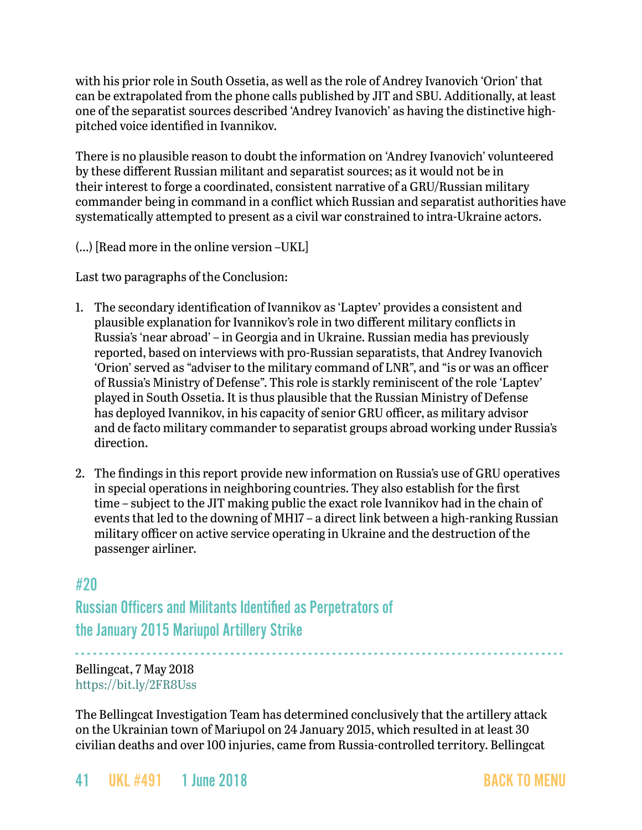with his prior role in South Ossetia, as well as the role of Andrey Ivanovich 'Orion' that can be extrapolated from the phone calls published by JIT and SBU. Additionally, at least one of the separatist sources described 'Andrey Ivanovich' as having the distinctive highpitched voice identified in Ivannikov.

There is no plausible reason to doubt the information on 'Andrey Ivanovich' volunteered by these different Russian militant and separatist sources; as it would not be in their interest to forge a coordinated, consistent narrative of a GRU/Russian military commander being in command in a conflict which Russian and separatist authorities have systematically attempted to present as a civil war constrained to intra-Ukraine actors.

(...) [Read more in the online version –UKL]

Last two paragraphs of the Conclusion:

- 1. The secondary identification of Ivannikov as 'Laptev' provides a consistent and plausible explanation for Ivannikov's role in two different military conflicts in Russia's 'near abroad' – in Georgia and in Ukraine. Russian media has previously reported, based on interviews with pro-Russian separatists, that Andrey Ivanovich 'Orion' served as "adviser to the military command of LNR", and "is or was an officer of Russia's Ministry of Defense". This role is starkly reminiscent of the role 'Laptev' played in South Ossetia. It is thus plausible that the Russian Ministry of Defense has deployed Ivannikov, in his capacity of senior GRU officer, as military advisor and de facto military commander to separatist groups abroad working under Russia's direction.
- 2. The findings in this report provide new information on Russia's use of GRU operatives in special operations in neighboring countries. They also establish for the first time – subject to the JIT making public the exact role Ivannikov had in the chain of events that led to the downing of MH17 – a direct link between a high-ranking Russian military officer on active service operating in Ukraine and the destruction of the passenger airliner.

### <span id="page-40-0"></span>#20

Russian Officers and Militants Identified as Perpetrators of the January 2015 Mariupol Artillery Strike

- - - - - - - - - - - - - - - - - - - - - - - - - - - - - - - - - - - - - - - - - - - - - - - - - - - - - - - - - - - - - - - - - - - - - - - - - - - - - - - - - - Bellingcat, 7 May 2018 <https://bit.ly/2FR8Uss>

The Bellingcat Investigation Team has determined conclusively that the artillery attack on the Ukrainian town of Mariupol on 24 January 2015, which resulted in at least 30 civilian deaths and over 100 injuries, came from Russia-controlled territory. Bellingcat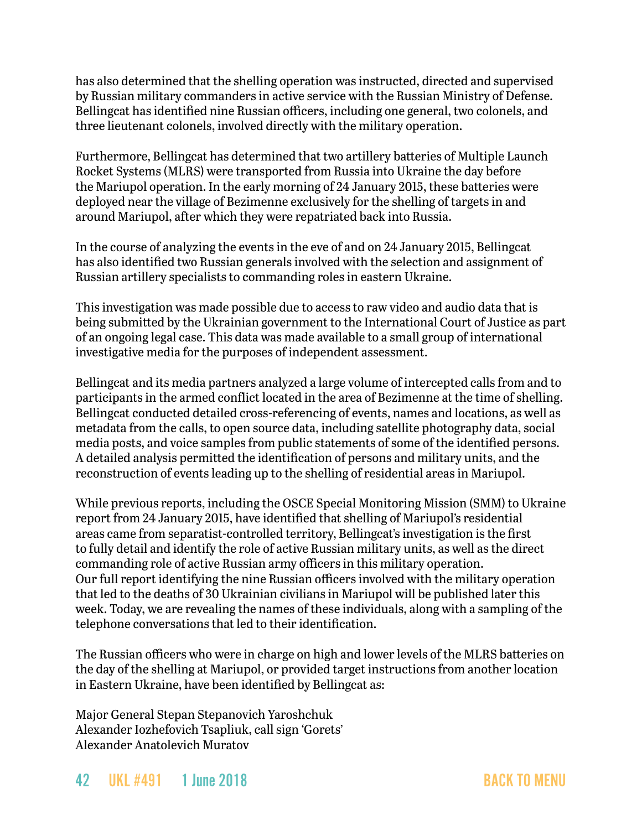has also determined that the shelling operation was instructed, directed and supervised by Russian military commanders in active service with the Russian Ministry of Defense. Bellingcat has identified nine Russian officers, including one general, two colonels, and three lieutenant colonels, involved directly with the military operation.

Furthermore, Bellingcat has determined that two artillery batteries of Multiple Launch Rocket Systems (MLRS) were transported from Russia into Ukraine the day before the Mariupol operation. In the early morning of 24 January 2015, these batteries were deployed near the village of Bezimenne exclusively for the shelling of targets in and around Mariupol, after which they were repatriated back into Russia.

In the course of analyzing the events in the eve of and on 24 January 2015, Bellingcat has also identified two Russian generals involved with the selection and assignment of Russian artillery specialists to commanding roles in eastern Ukraine.

This investigation was made possible due to access to raw video and audio data that is being submitted by the Ukrainian government to the International Court of Justice as part of an ongoing legal case. This data was made available to a small group of international investigative media for the purposes of independent assessment.

Bellingcat and its media partners analyzed a large volume of intercepted calls from and to participants in the armed conflict located in the area of Bezimenne at the time of shelling. Bellingcat conducted detailed cross-referencing of events, names and locations, as well as metadata from the calls, to open source data, including satellite photography data, social media posts, and voice samples from public statements of some of the identified persons. A detailed analysis permitted the identification of persons and military units, and the reconstruction of events leading up to the shelling of residential areas in Mariupol.

While previous reports, including the OSCE Special Monitoring Mission (SMM) to Ukraine report from 24 January 2015, have identified that shelling of Mariupol's residential areas came from separatist-controlled territory, Bellingcat's investigation is the first to fully detail and identify the role of active Russian military units, as well as the direct commanding role of active Russian army officers in this military operation. Our full report identifying the nine Russian officers involved with the military operation that led to the deaths of 30 Ukrainian civilians in Mariupol will be published later this week. Today, we are revealing the names of these individuals, along with a sampling of the telephone conversations that led to their identification.

The Russian officers who were in charge on high and lower levels of the MLRS batteries on the day of the shelling at Mariupol, or provided target instructions from another location in Eastern Ukraine, have been identified by Bellingcat as:

Major General Stepan Stepanovich Yaroshchuk Alexander Iozhefovich Tsapliuk, call sign 'Gorets' Alexander Anatolevich Muratov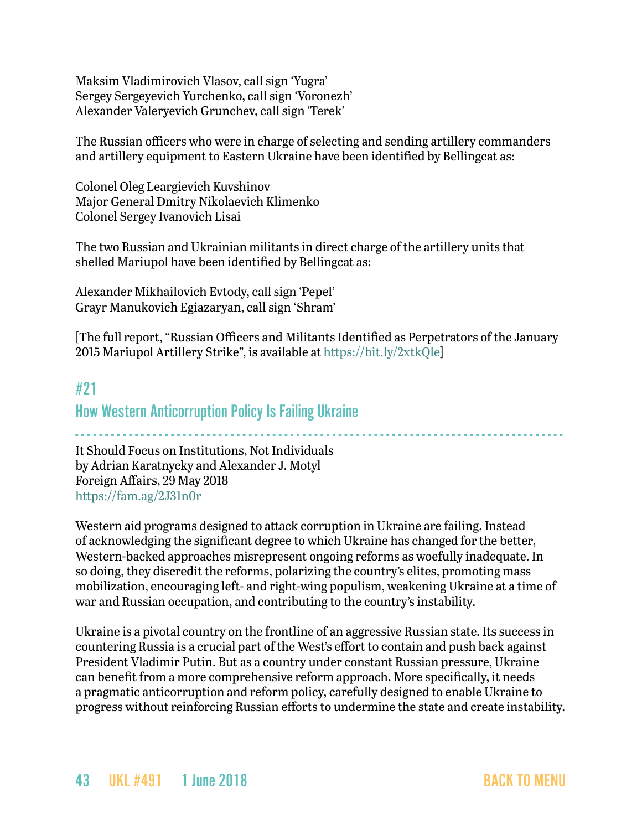Maksim Vladimirovich Vlasov, call sign 'Yugra' Sergey Sergeyevich Yurchenko, call sign 'Voronezh' Alexander Valeryevich Grunchev, call sign 'Terek'

The Russian officers who were in charge of selecting and sending artillery commanders and artillery equipment to Eastern Ukraine have been identified by Bellingcat as:

Colonel Oleg Leargievich Kuvshinov Major General Dmitry Nikolaevich Klimenko Colonel Sergey Ivanovich Lisai

The two Russian and Ukrainian militants in direct charge of the artillery units that shelled Mariupol have been identified by Bellingcat as:

Alexander Mikhailovich Evtody, call sign 'Pepel' Grayr Manukovich Egiazaryan, call sign 'Shram'

[The full report, "Russian Officers and Militants Identified as Perpetrators of the January 2015 Mariupol Artillery Strike", is available at [https://bit.ly/2xtkQle\]](https://bit.ly/2xtkQle)

### <span id="page-42-0"></span>#21

### How Western Anticorruption Policy Is Failing Ukraine

- - - - - - - - - - - - - - - - - - - - - - - - - - - - - - - - - - - - - - - - - - - - - - - - - - - - - - - - - - - - - - - - - - - - - - - - - - - - - - - - - - It Should Focus on Institutions, Not Individuals by Adrian Karatnycky and Alexander J. Motyl Foreign Affairs, 29 May 2018 <https://fam.ag/2J31n0r>

Western aid programs designed to attack corruption in Ukraine are failing. Instead of acknowledging the significant degree to which Ukraine has changed for the better, Western-backed approaches misrepresent ongoing reforms as woefully inadequate. In so doing, they discredit the reforms, polarizing the country's elites, promoting mass mobilization, encouraging left- and right-wing populism, weakening Ukraine at a time of war and Russian occupation, and contributing to the country's instability.

Ukraine is a pivotal country on the frontline of an aggressive Russian state. Its success in countering Russia is a crucial part of the West's effort to contain and push back against President Vladimir Putin. But as a country under constant Russian pressure, Ukraine can benefit from a more comprehensive reform approach. More specifically, it needs a pragmatic anticorruption and reform policy, carefully designed to enable Ukraine to progress without reinforcing Russian efforts to undermine the state and create instability.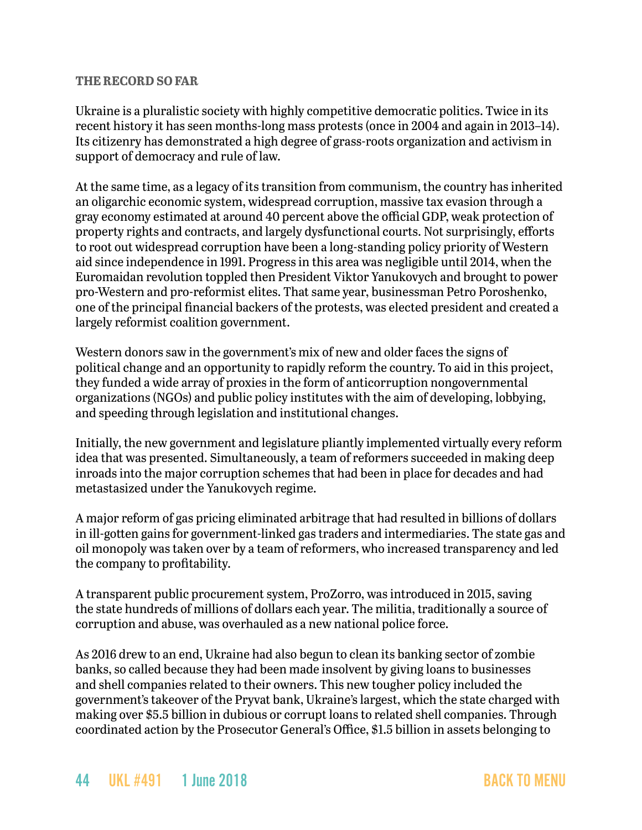#### **THE RECORD SO FAR**

Ukraine is a pluralistic society with highly competitive democratic politics. Twice in its recent history it has seen months-long mass protests (once in 2004 and again in 2013–14). Its citizenry has demonstrated a high degree of grass-roots organization and activism in support of democracy and rule of law.

At the same time, as a legacy of its transition from communism, the country has inherited an oligarchic economic system, widespread corruption, massive tax evasion through a gray economy estimated at around 40 percent above the official GDP, weak protection of property rights and contracts, and largely dysfunctional courts. Not surprisingly, efforts to root out widespread corruption have been a long-standing policy priority of Western aid since independence in 1991. Progress in this area was negligible until 2014, when the Euromaidan revolution toppled then President Viktor Yanukovych and brought to power pro-Western and pro-reformist elites. That same year, businessman Petro Poroshenko, one of the principal financial backers of the protests, was elected president and created a largely reformist coalition government.

Western donors saw in the government's mix of new and older faces the signs of political change and an opportunity to rapidly reform the country. To aid in this project, they funded a wide array of proxies in the form of anticorruption nongovernmental organizations (NGOs) and public policy institutes with the aim of developing, lobbying, and speeding through legislation and institutional changes.

Initially, the new government and legislature pliantly implemented virtually every reform idea that was presented. Simultaneously, a team of reformers succeeded in making deep inroads into the major corruption schemes that had been in place for decades and had metastasized under the Yanukovych regime.

A major reform of gas pricing eliminated arbitrage that had resulted in billions of dollars in ill-gotten gains for government-linked gas traders and intermediaries. The state gas and oil monopoly was taken over by a team of reformers, who increased transparency and led the company to profitability.

A transparent public procurement system, ProZorro, was introduced in 2015, saving the state hundreds of millions of dollars each year. The militia, traditionally a source of corruption and abuse, was overhauled as a new national police force.

As 2016 drew to an end, Ukraine had also begun to clean its banking sector of zombie banks, so called because they had been made insolvent by giving loans to businesses and shell companies related to their owners. This new tougher policy included the government's takeover of the Pryvat bank, Ukraine's largest, which the state charged with making over \$5.5 billion in dubious or corrupt loans to related shell companies. Through coordinated action by the Prosecutor General's Office, \$1.5 billion in assets belonging to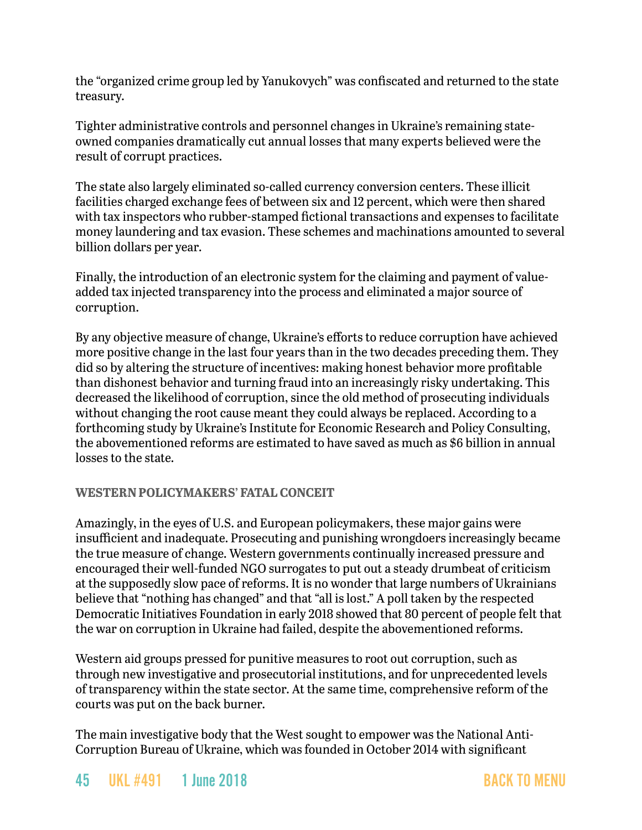the "organized crime group led by Yanukovych" was confiscated and returned to the state treasury.

Tighter administrative controls and personnel changes in Ukraine's remaining stateowned companies dramatically cut annual losses that many experts believed were the result of corrupt practices.

The state also largely eliminated so-called currency conversion centers. These illicit facilities charged exchange fees of between six and 12 percent, which were then shared with tax inspectors who rubber-stamped fictional transactions and expenses to facilitate money laundering and tax evasion. These schemes and machinations amounted to several billion dollars per year.

Finally, the introduction of an electronic system for the claiming and payment of valueadded tax injected transparency into the process and eliminated a major source of corruption.

By any objective measure of change, Ukraine's efforts to reduce corruption have achieved more positive change in the last four years than in the two decades preceding them. They did so by altering the structure of incentives: making honest behavior more profitable than dishonest behavior and turning fraud into an increasingly risky undertaking. This decreased the likelihood of corruption, since the old method of prosecuting individuals without changing the root cause meant they could always be replaced. According to a forthcoming study by Ukraine's Institute for Economic Research and Policy Consulting, the abovementioned reforms are estimated to have saved as much as \$6 billion in annual losses to the state.

### **WESTERN POLICYMAKERS' FATAL CONCEIT**

Amazingly, in the eyes of U.S. and European policymakers, these major gains were insufficient and inadequate. Prosecuting and punishing wrongdoers increasingly became the true measure of change. Western governments continually increased pressure and encouraged their well-funded NGO surrogates to put out a steady drumbeat of criticism at the supposedly slow pace of reforms. It is no wonder that large numbers of Ukrainians believe that "nothing has changed" and that "all is lost." A poll taken by the respected Democratic Initiatives Foundation in early 2018 showed that 80 percent of people felt that the war on corruption in Ukraine had failed, despite the abovementioned reforms.

Western aid groups pressed for punitive measures to root out corruption, such as through new investigative and prosecutorial institutions, and for unprecedented levels of transparency within the state sector. At the same time, comprehensive reform of the courts was put on the back burner.

The main investigative body that the West sought to empower was the National Anti-Corruption Bureau of Ukraine, which was founded in October 2014 with significant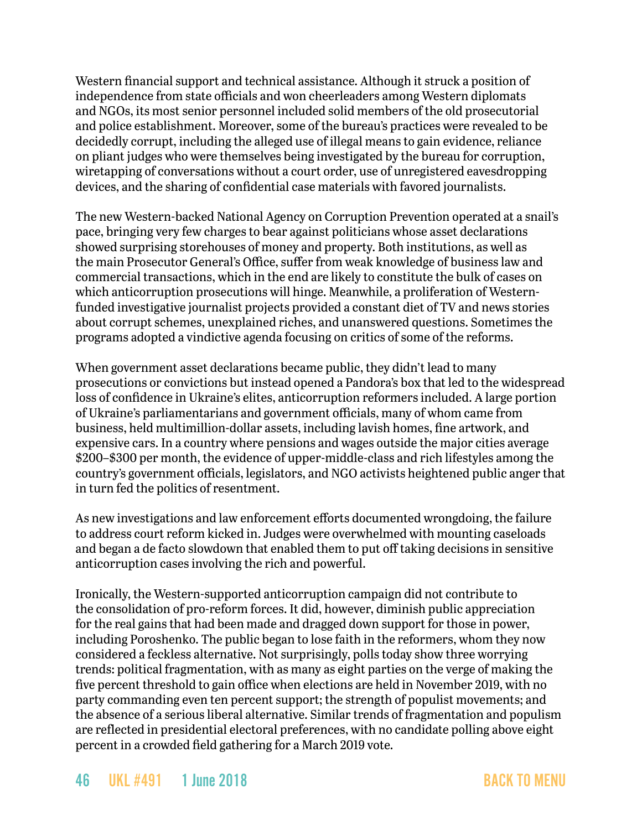Western financial support and technical assistance. Although it struck a position of independence from state officials and won cheerleaders among Western diplomats and NGOs, its most senior personnel included solid members of the old prosecutorial and police establishment. Moreover, some of the bureau's practices were revealed to be decidedly corrupt, including the alleged use of illegal means to gain evidence, reliance on pliant judges who were themselves being investigated by the bureau for corruption, wiretapping of conversations without a court order, use of unregistered eavesdropping devices, and the sharing of confidential case materials with favored journalists.

The new Western-backed National Agency on Corruption Prevention operated at a snail's pace, bringing very few charges to bear against politicians whose asset declarations showed surprising storehouses of money and property. Both institutions, as well as the main Prosecutor General's Office, suffer from weak knowledge of business law and commercial transactions, which in the end are likely to constitute the bulk of cases on which anticorruption prosecutions will hinge. Meanwhile, a proliferation of Westernfunded investigative journalist projects provided a constant diet of TV and news stories about corrupt schemes, unexplained riches, and unanswered questions. Sometimes the programs adopted a vindictive agenda focusing on critics of some of the reforms.

When government asset declarations became public, they didn't lead to many prosecutions or convictions but instead opened a Pandora's box that led to the widespread loss of confidence in Ukraine's elites, anticorruption reformers included. A large portion of Ukraine's parliamentarians and government officials, many of whom came from business, held multimillion-dollar assets, including lavish homes, fine artwork, and expensive cars. In a country where pensions and wages outside the major cities average \$200–\$300 per month, the evidence of upper-middle-class and rich lifestyles among the country's government officials, legislators, and NGO activists heightened public anger that in turn fed the politics of resentment.

As new investigations and law enforcement efforts documented wrongdoing, the failure to address court reform kicked in. Judges were overwhelmed with mounting caseloads and began a de facto slowdown that enabled them to put off taking decisions in sensitive anticorruption cases involving the rich and powerful.

Ironically, the Western-supported anticorruption campaign did not contribute to the consolidation of pro-reform forces. It did, however, diminish public appreciation for the real gains that had been made and dragged down support for those in power, including Poroshenko. The public began to lose faith in the reformers, whom they now considered a feckless alternative. Not surprisingly, polls today show three worrying trends: political fragmentation, with as many as eight parties on the verge of making the five percent threshold to gain office when elections are held in November 2019, with no party commanding even ten percent support; the strength of populist movements; and the absence of a serious liberal alternative. Similar trends of fragmentation and populism are reflected in presidential electoral preferences, with no candidate polling above eight percent in a crowded field gathering for a March 2019 vote.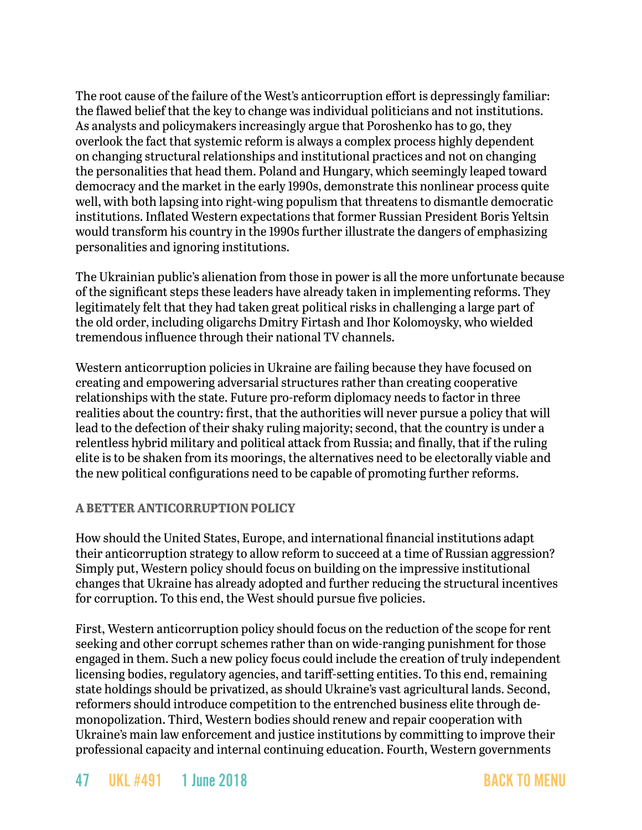The root cause of the failure of the West's anticorruption effort is depressingly familiar: the flawed belief that the key to change was individual politicians and not institutions. As analysts and policymakers increasingly argue that Poroshenko has to go, they overlook the fact that systemic reform is always a complex process highly dependent on changing structural relationships and institutional practices and not on changing the personalities that head them. Poland and Hungary, which seemingly leaped toward democracy and the market in the early 1990s, demonstrate this nonlinear process quite well, with both lapsing into right-wing populism that threatens to dismantle democratic institutions. Inflated Western expectations that former Russian President Boris Yeltsin would transform his country in the 1990s further illustrate the dangers of emphasizing personalities and ignoring institutions.

The Ukrainian public's alienation from those in power is all the more unfortunate because of the significant steps these leaders have already taken in implementing reforms. They legitimately felt that they had taken great political risks in challenging a large part of the old order, including oligarchs Dmitry Firtash and Ihor Kolomoysky, who wielded tremendous influence through their national TV channels.

Western anticorruption policies in Ukraine are failing because they have focused on creating and empowering adversarial structures rather than creating cooperative relationships with the state. Future pro-reform diplomacy needs to factor in three realities about the country: first, that the authorities will never pursue a policy that will lead to the defection of their shaky ruling majority; second, that the country is under a relentless hybrid military and political attack from Russia; and finally, that if the ruling elite is to be shaken from its moorings, the alternatives need to be electorally viable and the new political configurations need to be capable of promoting further reforms.

#### **A BETTER ANTICORRUPTION POLICY**

How should the United States, Europe, and international financial institutions adapt their anticorruption strategy to allow reform to succeed at a time of Russian aggression? Simply put, Western policy should focus on building on the impressive institutional changes that Ukraine has already adopted and further reducing the structural incentives for corruption. To this end, the West should pursue five policies.

First, Western anticorruption policy should focus on the reduction of the scope for rent seeking and other corrupt schemes rather than on wide-ranging punishment for those engaged in them. Such a new policy focus could include the creation of truly independent licensing bodies, regulatory agencies, and tariff-setting entities. To this end, remaining state holdings should be privatized, as should Ukraine's vast agricultural lands. Second, reformers should introduce competition to the entrenched business elite through demonopolization. Third, Western bodies should renew and repair cooperation with Ukraine's main law enforcement and justice institutions by committing to improve their professional capacity and internal continuing education. Fourth, Western governments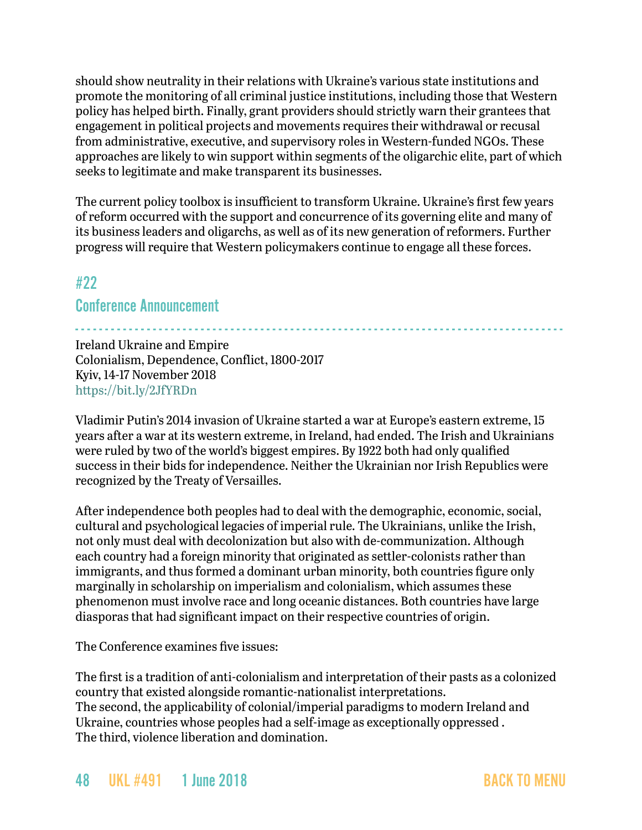should show neutrality in their relations with Ukraine's various state institutions and promote the monitoring of all criminal justice institutions, including those that Western policy has helped birth. Finally, grant providers should strictly warn their grantees that engagement in political projects and movements requires their withdrawal or recusal from administrative, executive, and supervisory roles in Western-funded NGOs. These approaches are likely to win support within segments of the oligarchic elite, part of which seeks to legitimate and make transparent its businesses.

The current policy toolbox is insufficient to transform Ukraine. Ukraine's first few years of reform occurred with the support and concurrence of its governing elite and many of its business leaders and oligarchs, as well as of its new generation of reformers. Further progress will require that Western policymakers continue to engage all these forces.

## <span id="page-47-0"></span>#22

### Conference Announcement

- - - - - - - - - - - - - - - - - - - - - - - - - - - - - - - - - - - - - - - - - - - - - - - - - - - - - - - - - - - - - - - - - - - - - - - - - - - - - - - - - - Ireland Ukraine and Empire Colonialism, Dependence, Conflict, 1800-2017 Kyiv, 14-17 November 2018 <https://bit.ly/2JfYRDn>

Vladimir Putin's 2014 invasion of Ukraine started a war at Europe's eastern extreme, 15 years after a war at its western extreme, in Ireland, had ended. The Irish and Ukrainians were ruled by two of the world's biggest empires. By 1922 both had only qualified success in their bids for independence. Neither the Ukrainian nor Irish Republics were recognized by the Treaty of Versailles.

After independence both peoples had to deal with the demographic, economic, social, cultural and psychological legacies of imperial rule. The Ukrainians, unlike the Irish, not only must deal with decolonization but also with de-communization. Although each country had a foreign minority that originated as settler-colonists rather than immigrants, and thus formed a dominant urban minority, both countries figure only marginally in scholarship on imperialism and colonialism, which assumes these phenomenon must involve race and long oceanic distances. Both countries have large diasporas that had significant impact on their respective countries of origin.

The Conference examines five issues:

The first is a tradition of anti-colonialism and interpretation of their pasts as a colonized country that existed alongside romantic-nationalist interpretations. The second, the applicability of colonial/imperial paradigms to modern Ireland and Ukraine, countries whose peoples had a self-image as exceptionally oppressed . The third, violence liberation and domination.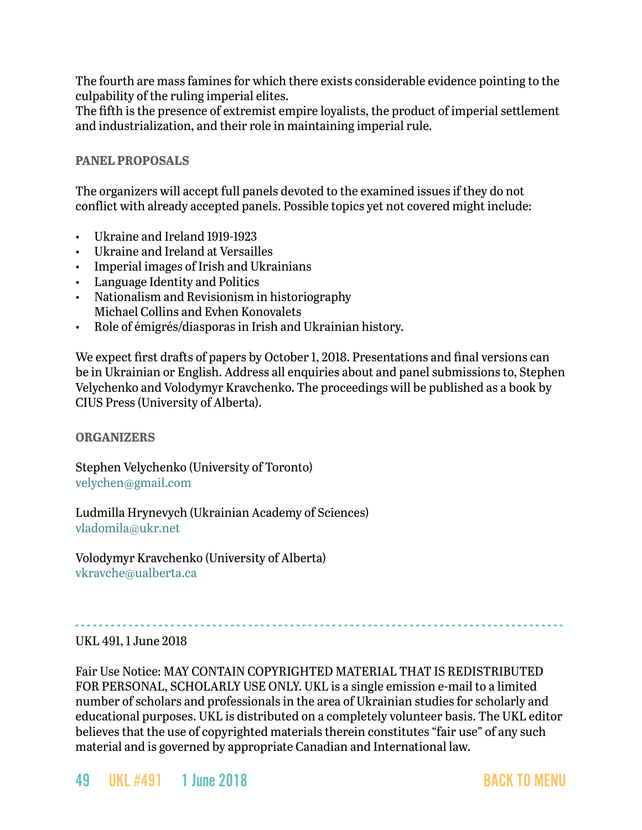The fourth are mass famines for which there exists considerable evidence pointing to the culpability of the ruling imperial elites.

The fifth is the presence of extremist empire loyalists, the product of imperial settlement and industrialization, and their role in maintaining imperial rule.

#### **PANEL PROPOSALS**

The organizers will accept full panels devoted to the examined issues if they do not conflict with already accepted panels. Possible topics yet not covered might include:

- Ukraine and Ireland 1919-1923
- Ukraine and Ireland at Versailles
- Imperial images of Irish and Ukrainians
- Language Identity and Politics
- Nationalism and Revisionism in historiography Michael Collins and Evhen Konovalets
- Role of émigrés/diasporas in Irish and Ukrainian history.

We expect first drafts of papers by October 1, 2018. Presentations and final versions can be in Ukrainian or English. Address all enquiries about and panel submissions to, Stephen Velychenko and Volodymyr Kravchenko. The proceedings will be published as a book by CIUS Press (University of Alberta).

#### **ORGANIZERS**

Stephen Velychenko (University of Toronto) [velychen@gmail.com](mailto:velychen@gmail.com)

Ludmilla Hrynevych (Ukrainian Academy of Sciences) [vladomila@ukr.net](mailto:vladomila@ukr.net)

Volodymyr Kravchenko (University of Alberta) [vkravche@ualberta.ca](mailto:vkravche@ualberta.ca)

#### UKL 491, 1 June 2018

Fair Use Notice: MAY CONTAIN COPYRIGHTED MATERIAL THAT IS REDISTRIBUTED FOR PERSONAL, SCHOLARLY USE ONLY. UKL is a single emission e-mail to a limited number of scholars and professionals in the area of Ukrainian studies for scholarly and educational purposes. UKL is distributed on a completely volunteer basis. The UKL editor believes that the use of copyrighted materials therein constitutes "fair use" of any such material and is governed by appropriate Canadian and International law.

- - - - - - - - - - - - - - - - - - - - - - - - - - - - - - - - - - - - - - - - - - - - - - - - - - - - - - - - - - - - - - - - - - - - - - - - - - - - - - - - - -